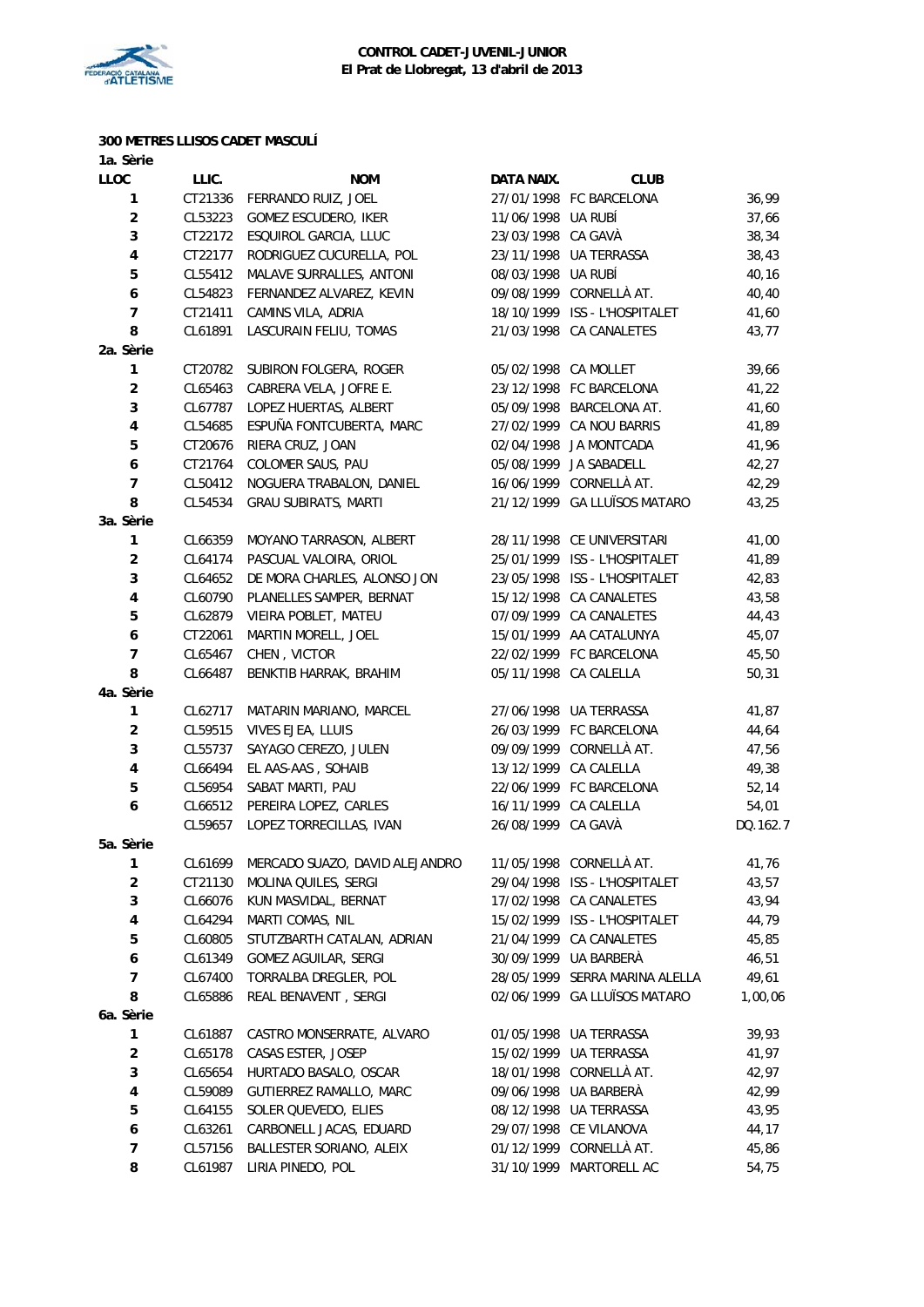

#### **300 METRES LLISOS CADET MASCULÍ 1a. Sèrie**

| <b>LLOC</b>             | LLIC.   | <b>NOM</b>                     | <b>DATA NAIX.</b>    | <b>CLUB</b>                    |          |
|-------------------------|---------|--------------------------------|----------------------|--------------------------------|----------|
| 1                       | CT21336 | FERRANDO RUIZ, JOEL            |                      | 27/01/1998 FC BARCELONA        | 36,99    |
| $\boldsymbol{2}$        | CL53223 | <b>GOMEZ ESCUDERO, IKER</b>    | 11/06/1998 UA RUBÍ   |                                | 37,66    |
| $\mathbf 3$             | CT22172 | ESQUIROL GARCIA, LLUC          | 23/03/1998 CA GAVÀ   |                                | 38,34    |
| $\pmb{4}$               | CT22177 | RODRIGUEZ CUCURELLA, POL       |                      | 23/11/1998 UA TERRASSA         | 38,43    |
| 5                       | CL55412 | MALAVE SURRALLES, ANTONI       | 08/03/1998 UA RUBÍ   |                                | 40,16    |
| $\boldsymbol{6}$        | CL54823 | FERNANDEZ ALVAREZ, KEVIN       |                      | 09/08/1999 CORNELLÀ AT.        | 40,40    |
| $\overline{7}$          | CT21411 | CAMINS VILA, ADRIA             |                      | 18/10/1999 ISS - L'HOSPITALET  | 41,60    |
| 8                       | CL61891 | LASCURAIN FELIU, TOMAS         |                      | 21/03/1998 CA CANALETES        | 43,77    |
| 2a. Sèrie               |         |                                |                      |                                |          |
| 1                       | CT20782 | SUBIRON FOLGERA, ROGER         | 05/02/1998 CA MOLLET |                                | 39,66    |
| $\overline{\mathbf{c}}$ | CL65463 | CABRERA VELA, JOFRE E.         |                      | 23/12/1998 FC BARCELONA        | 41,22    |
| $\mathbf 3$             | CL67787 | LOPEZ HUERTAS, ALBERT          |                      | 05/09/1998 BARCELONA AT.       | 41,60    |
| 4                       | CL54685 | ESPUÑA FONTCUBERTA, MARC       |                      | 27/02/1999 CA NOU BARRIS       | 41,89    |
| $\mathbf 5$             | CT20676 | RIERA CRUZ, JOAN               |                      | 02/04/1998 JA MONTCADA         | 41,96    |
| 6                       | CT21764 | COLOMER SAUS, PAU              |                      | 05/08/1999 JA SABADELL         | 42,27    |
| $\overline{7}$          | CL50412 | NOGUERA TRABALON, DANIEL       |                      | 16/06/1999 CORNELLÀ AT.        | 42,29    |
| 8                       | CL54534 | <b>GRAU SUBIRATS, MARTI</b>    |                      | 21/12/1999 GA LLUÏSOS MATARO   | 43,25    |
| 3a. Sèrie               |         |                                |                      |                                |          |
| $\mathbf{1}$            | CL66359 | MOYANO TARRASON, ALBERT        |                      | 28/11/1998 CE UNIVERSITARI     | 41,00    |
| $\overline{c}$          | CL64174 | PASCUAL VALOIRA, ORIOL         |                      | 25/01/1999 ISS - L'HOSPITALET  | 41,89    |
| 3                       | CL64652 | DE MORA CHARLES, ALONSO JON    |                      | 23/05/1998 ISS - L'HOSPITALET  | 42,83    |
| $\pmb{4}$               | CL60790 | PLANELLES SAMPER, BERNAT       |                      | 15/12/1998 CA CANALETES        | 43,58    |
| 5                       | CL62879 | VIEIRA POBLET, MATEU           |                      | 07/09/1999 CA CANALETES        | 44,43    |
| $\boldsymbol{6}$        | CT22061 | MARTIN MORELL, JOEL            |                      | 15/01/1999 AA CATALUNYA        | 45,07    |
| $\overline{7}$          | CL65467 | CHEN, VICTOR                   |                      | 22/02/1999 FC BARCELONA        | 45,50    |
| 8                       | CL66487 | BENKTIB HARRAK, BRAHIM         |                      | 05/11/1998 CA CALELLA          | 50,31    |
| 4a. Sèrie               |         |                                |                      |                                |          |
| 1                       | CL62717 | MATARIN MARIANO, MARCEL        |                      | 27/06/1998 UA TERRASSA         | 41,87    |
| $\overline{\mathbf{c}}$ | CL59515 | VIVES EJEA, LLUIS              |                      | 26/03/1999 FC BARCELONA        | 44,64    |
| $\mathbf 3$             | CL55737 | SAYAGO CEREZO, JULEN           |                      | 09/09/1999 CORNELLÀ AT.        | 47,56    |
| 4                       | CL66494 | EL AAS-AAS, SOHAIB             |                      | 13/12/1999 CA CALELLA          | 49,38    |
| 5                       | CL56954 | SABAT MARTI, PAU               |                      | 22/06/1999 FC BARCELONA        | 52,14    |
| 6                       | CL66512 | PEREIRA LOPEZ, CARLES          |                      | 16/11/1999 CA CALELLA          | 54,01    |
|                         | CL59657 | LOPEZ TORRECILLAS, IVAN        | 26/08/1999 CA GAVÀ   |                                | DQ.162.7 |
| 5a. Sèrie               |         |                                |                      |                                |          |
| 1                       | CL61699 | MERCADO SUAZO, DAVID ALEJANDRO |                      | 11/05/1998 CORNELLÀ AT.        | 41,76    |
| 2                       |         | CT21130 MOLINA QUILES, SERGI   |                      | 29/04/1998 ISS - L'HOSPITALET  | 43,57    |
| 3                       | CL66076 | KUN MASVIDAL, BERNAT           |                      | 17/02/1998 CA CANALETES        | 43,94    |
| 4                       | CL64294 | MARTI COMAS, NIL               |                      | 15/02/1999 ISS - L'HOSPITALET  | 44,79    |
| 5                       | CL60805 | STUTZBARTH CATALAN, ADRIAN     |                      | 21/04/1999 CA CANALETES        | 45,85    |
| 6                       | CL61349 | GOMEZ AGUILAR, SERGI           |                      | 30/09/1999 UA BARBERÀ          | 46,51    |
| $\overline{7}$          | CL67400 | TORRALBA DREGLER, POL          |                      | 28/05/1999 SERRA MARINA ALELLA | 49,61    |
| 8                       | CL65886 | REAL BENAVENT, SERGI           |                      | 02/06/1999 GA LLUÏSOS MATARO   | 1,00,06  |
| 6a. Sèrie               |         |                                |                      |                                |          |
| $\mathbf{1}$            | CL61887 | CASTRO MONSERRATE, ALVARO      |                      | 01/05/1998 UA TERRASSA         | 39,93    |
| $\overline{\mathbf{c}}$ | CL65178 | CASAS ESTER, JOSEP             |                      | 15/02/1999 UA TERRASSA         | 41,97    |
| 3                       | CL65654 | HURTADO BASALO, OSCAR          |                      | 18/01/1998 CORNELLÀ AT.        | 42,97    |
| $\pmb{4}$               | CL59089 | GUTIERREZ RAMALLO, MARC        |                      | 09/06/1998 UA BARBERÀ          | 42,99    |
| 5                       | CL64155 | SOLER QUEVEDO, ELIES           |                      | 08/12/1998 UA TERRASSA         | 43,95    |
| 6                       | CL63261 | CARBONELL JACAS, EDUARD        |                      | 29/07/1998 CE VILANOVA         | 44,17    |
| 7                       | CL57156 | BALLESTER SORIANO, ALEIX       |                      | 01/12/1999 CORNELLÀ AT.        | 45,86    |
| 8                       | CL61987 | LIRIA PINEDO, POL              |                      | 31/10/1999 MARTORELL AC        | 54,75    |
|                         |         |                                |                      |                                |          |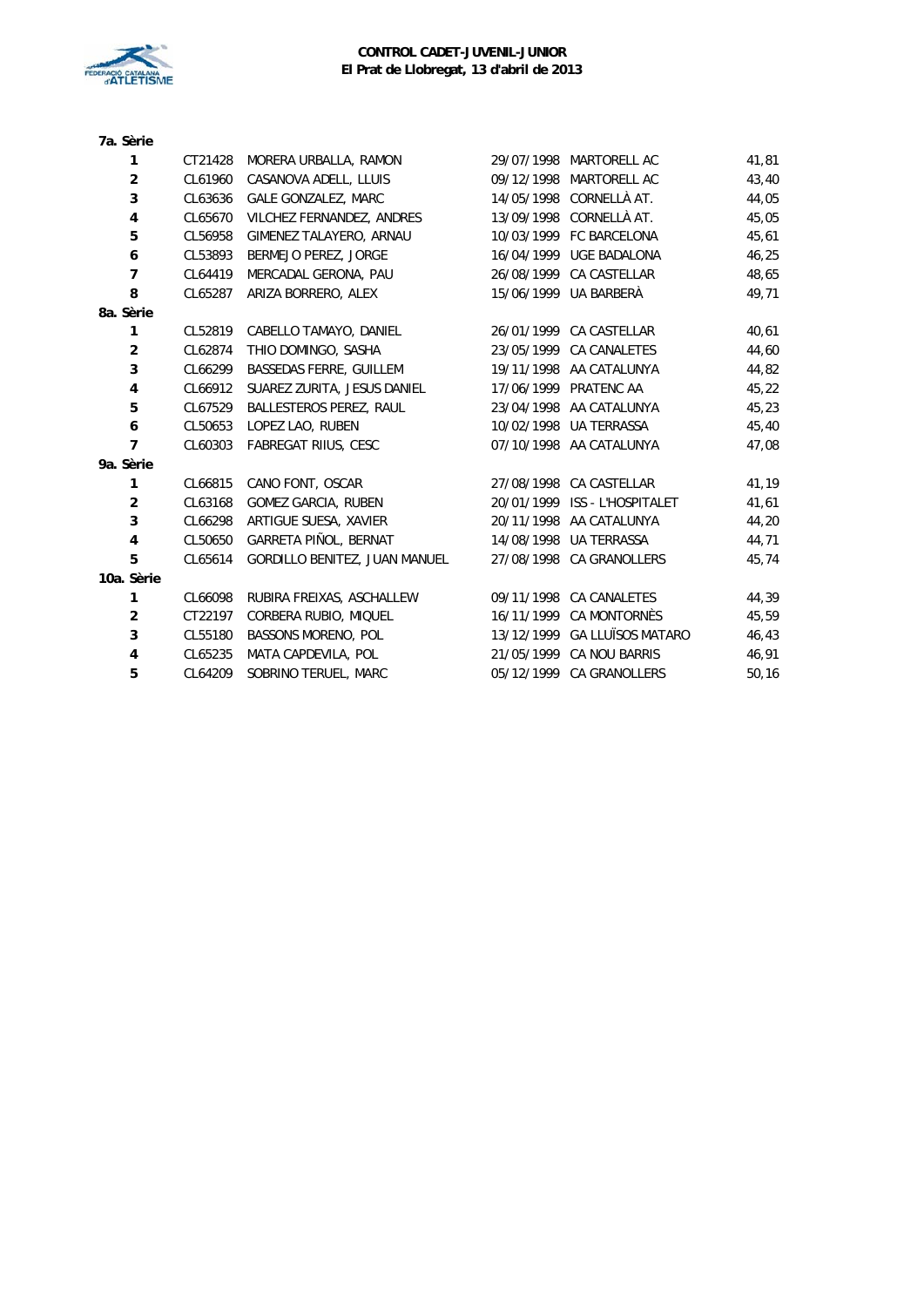

| 7a. Sèrie               |         |                                |            |                              |       |
|-------------------------|---------|--------------------------------|------------|------------------------------|-------|
| 1                       | CT21428 | MORERA URBALLA, RAMON          | 29/07/1998 | MARTORELL AC                 | 41,81 |
| $\overline{c}$          | CL61960 | CASANOVA ADELL, LLUIS          | 09/12/1998 | MARTORELL AC                 | 43,40 |
| 3                       | CL63636 | <b>GALE GONZALEZ, MARC</b>     |            | 14/05/1998 CORNELLÀ AT.      | 44,05 |
| $\overline{\mathbf{4}}$ | CL65670 | VILCHEZ FERNANDEZ, ANDRES      |            | 13/09/1998 CORNELLÀ AT.      | 45,05 |
| 5                       | CL56958 | GIMENEZ TALAYERO, ARNAU        |            | 10/03/1999 FC BARCELONA      | 45,61 |
| 6                       | CL53893 | BERMEJO PEREZ, JORGE           | 16/04/1999 | <b>UGE BADALONA</b>          | 46,25 |
| $\overline{7}$          | CL64419 | MERCADAL GERONA, PAU           |            | 26/08/1999 CA CASTELLAR      | 48,65 |
| 8                       | CL65287 | ARIZA BORRERO, ALEX            |            | 15/06/1999 UA BARBERÀ        | 49,71 |
| 8a. Sèrie               |         |                                |            |                              |       |
| 1                       | CL52819 | CABELLO TAMAYO, DANIEL         |            | 26/01/1999 CA CASTELLAR      | 40,61 |
| $\overline{2}$          | CL62874 | THIO DOMINGO, SASHA            |            | 23/05/1999 CA CANALETES      | 44,60 |
| 3                       | CL66299 | <b>BASSEDAS FERRE, GUILLEM</b> |            | 19/11/1998 AA CATALUNYA      | 44,82 |
| 4                       | CL66912 | SUAREZ ZURITA, JESUS DANIEL    |            | 17/06/1999 PRATENC AA        | 45,22 |
| 5                       | CL67529 | <b>BALLESTEROS PEREZ, RAUL</b> |            | 23/04/1998 AA CATALUNYA      | 45,23 |
| 6                       | CL50653 | LOPEZ LAO, RUBEN               |            | 10/02/1998 UA TERRASSA       | 45,40 |
| 7                       | CL60303 | FABREGAT RIIUS, CESC           |            | 07/10/1998 AA CATALUNYA      | 47,08 |
| 9a. Sèrie               |         |                                |            |                              |       |
| 1                       | CL66815 | CANO FONT, OSCAR               |            | 27/08/1998 CA CASTELLAR      | 41,19 |
| $\overline{2}$          | CL63168 | <b>GOMEZ GARCIA, RUBEN</b>     | 20/01/1999 | ISS - L'HOSPITALET           | 41,61 |
| 3                       | CL66298 | ARTIGUE SUESA, XAVIER          |            | 20/11/1998 AA CATALUNYA      | 44,20 |
| 4                       | CL50650 | GARRETA PIÑOL, BERNAT          |            | 14/08/1998 UA TERRASSA       | 44,71 |
| 5                       | CL65614 | GORDILLO BENITEZ, JUAN MANUEL  | 27/08/1998 | <b>CA GRANOLLERS</b>         | 45,74 |
| 10a. Sèrie              |         |                                |            |                              |       |
| 1                       | CL66098 | RUBIRA FREIXAS, ASCHALLEW      |            | 09/11/1998 CA CANALETES      | 44,39 |
| $\overline{2}$          | CT22197 | CORBERA RUBIO, MIQUEL          |            | 16/11/1999 CA MONTORNÈS      | 45,59 |
| 3                       | CL55180 | <b>BASSONS MORENO, POL</b>     |            | 13/12/1999 GA LLUÏSOS MATARO | 46,43 |
| 4                       | CL65235 | MATA CAPDEVILA, POL            | 21/05/1999 | CA NOU BARRIS                | 46,91 |
| 5                       | CL64209 | SOBRINO TERUEL, MARC           |            | 05/12/1999 CA GRANOLLERS     | 50,16 |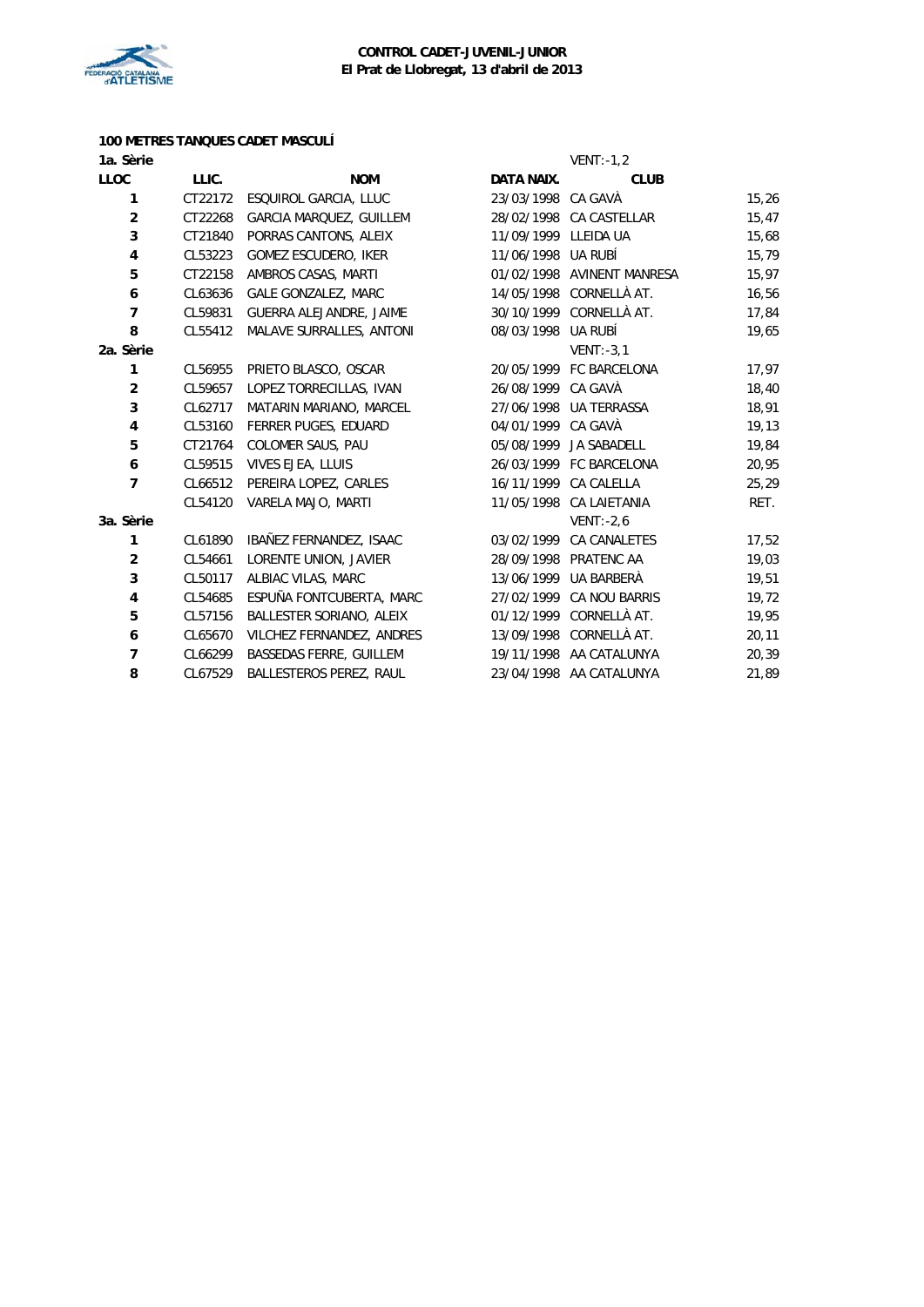

# **100 METRES TANQUES CADET MASCULÍ**

| 1a. Sèrie      |         |                                |                      | $VENT: -1, 2$              |       |
|----------------|---------|--------------------------------|----------------------|----------------------------|-------|
| <b>LLOC</b>    | LLIC.   | <b>NOM</b>                     | DATA NAIX.           | <b>CLUB</b>                |       |
| 1              | CT22172 | ESQUIROL GARCIA, LLUC          | 23/03/1998 CA GAVÀ   |                            | 15,26 |
| $\overline{2}$ | CT22268 | GARCIA MARQUEZ, GUILLEM        |                      | 28/02/1998 CA CASTELLAR    | 15,47 |
| 3              | CT21840 | PORRAS CANTONS, ALEIX          | 11/09/1999 LLEIDA UA |                            | 15,68 |
| 4              | CL53223 | <b>GOMEZ ESCUDERO, IKER</b>    | 11/06/1998 UA RUBÍ   |                            | 15,79 |
| 5              | CT22158 | AMBROS CASAS, MARTI            |                      | 01/02/1998 AVINENT MANRESA | 15,97 |
| 6              | CL63636 | <b>GALE GONZALEZ, MARC</b>     |                      | 14/05/1998 CORNELLÀ AT.    | 16,56 |
| $\overline{7}$ | CL59831 | GUERRA ALEJANDRE, JAIME        |                      | 30/10/1999 CORNELLÀ AT.    | 17,84 |
| 8              | CL55412 | MALAVE SURRALLES, ANTONI       | 08/03/1998 UA RUBÍ   |                            | 19,65 |
| 2a. Sèrie      |         |                                |                      | $VENT: -3, 1$              |       |
| 1              | CL56955 | PRIETO BLASCO, OSCAR           |                      | 20/05/1999 FC BARCELONA    | 17,97 |
| $\overline{2}$ | CL59657 | LOPEZ TORRECILLAS, IVAN        | 26/08/1999 CA GAVÀ   |                            | 18,40 |
| 3              | CL62717 | MATARIN MARIANO, MARCEL        |                      | 27/06/1998 UA TERRASSA     | 18,91 |
| 4              | CL53160 | FERRER PUGES, EDUARD           | 04/01/1999 CA GAVÀ   |                            | 19,13 |
| 5              | CT21764 | COLOMER SAUS, PAU              |                      | 05/08/1999 JA SABADELL     | 19,84 |
| 6              | CL59515 | VIVES EJEA, LLUIS              |                      | 26/03/1999 FC BARCELONA    | 20,95 |
| 7              | CL66512 | PEREIRA LOPEZ, CARLES          |                      | 16/11/1999 CA CALELLA      | 25,29 |
|                | CL54120 | VARELA MAJO, MARTI             |                      | 11/05/1998 CA LAIETANIA    | RET.  |
| 3a. Sèrie      |         |                                |                      | $VENT: -2, 6$              |       |
| 1              | CL61890 | IBAÑEZ FERNANDEZ, ISAAC        |                      | 03/02/1999 CA CANALETES    | 17,52 |
| $\overline{2}$ | CL54661 | LORENTE UNION, JAVIER          |                      | 28/09/1998 PRATENC AA      | 19,03 |
| 3              | CL50117 | ALBIAC VILAS, MARC             |                      | 13/06/1999 UA BARBERÀ      | 19,51 |
| 4              | CL54685 | ESPUÑA FONTCUBERTA, MARC       |                      | 27/02/1999 CA NOU BARRIS   | 19,72 |
| 5              | CL57156 | BALLESTER SORIANO, ALEIX       |                      | 01/12/1999 CORNELLÀ AT.    | 19,95 |
| 6              | CL65670 | VILCHEZ FERNANDEZ, ANDRES      |                      | 13/09/1998 CORNELLÀ AT.    | 20,11 |
| $\overline{7}$ | CL66299 | <b>BASSEDAS FERRE, GUILLEM</b> |                      | 19/11/1998 AA CATALUNYA    | 20,39 |
| 8              | CL67529 | BALLESTEROS PEREZ, RAUL        |                      | 23/04/1998 AA CATALUNYA    | 21,89 |
|                |         |                                |                      |                            |       |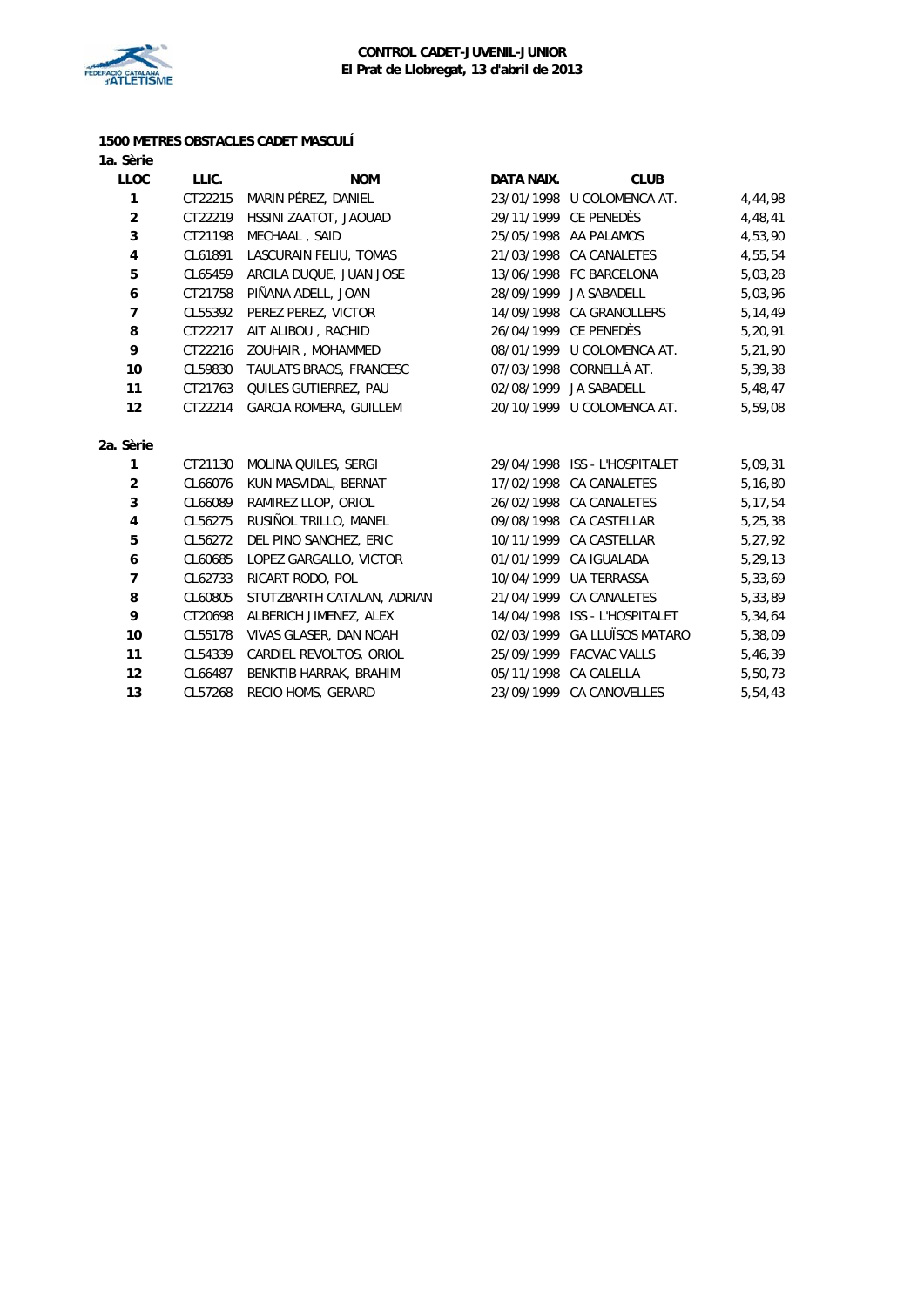

#### **1500 METRES OBSTACLES CADET MASCULÍ 1a. Sèrie**

| <b>LLOC</b>    | LLIC.   | <b>NOM</b>                    | DATA NAIX.            | <b>CLUB</b>                   |           |
|----------------|---------|-------------------------------|-----------------------|-------------------------------|-----------|
| 1              | CT22215 | MARIN PÉREZ, DANIEL           |                       | 23/01/1998 U COLOMENCA AT.    | 4,44,98   |
| $\overline{2}$ | CT22219 | HSSINI ZAATOT, JAOUAD         |                       | 29/11/1999 CE PENEDÈS         | 4,48,41   |
| 3              | CT21198 | MECHAAL, SAID                 |                       | 25/05/1998 AA PALAMOS         | 4,53,90   |
| 4              | CL61891 | LASCURAIN FELIU, TOMAS        |                       | 21/03/1998 CA CANALETES       | 4,55,54   |
| 5              | CL65459 | ARCILA DUQUE, JUAN JOSE       |                       | 13/06/1998 FC BARCELONA       | 5,03,28   |
| 6              | CT21758 | PIÑANA ADELL, JOAN            |                       | 28/09/1999 JA SABADELL        | 5,03,96   |
| 7              | CL55392 | PEREZ PEREZ, VICTOR           |                       | 14/09/1998 CA GRANOLLERS      | 5, 14, 49 |
| 8              | CT22217 | AIT ALIBOU, RACHID            |                       | 26/04/1999 CE PENEDÈS         | 5,20,91   |
| 9              | CT22216 | ZOUHAIR, MOHAMMED             |                       | 08/01/1999 U COLOMENCA AT.    | 5,21,90   |
| 10             | CL59830 | TAULATS BRAOS, FRANCESC       |                       | 07/03/1998 CORNELLÀ AT.       | 5,39,38   |
| 11             | CT21763 | QUILES GUTIERREZ, PAU         |                       | 02/08/1999 JA SABADELL        | 5,48,47   |
| 12             | CT22214 | <b>GARCIA ROMERA, GUILLEM</b> |                       | 20/10/1999 U COLOMENCA AT.    | 5,59,08   |
|                |         |                               |                       |                               |           |
| 2a. Sèrie      |         |                               |                       |                               |           |
| 1              | CT21130 | MOLINA QUILES, SERGI          |                       | 29/04/1998 ISS - L'HOSPITALET | 5,09,31   |
| $\overline{2}$ | CL66076 | KUN MASVIDAL, BERNAT          |                       | 17/02/1998 CA CANALETES       | 5,16,80   |
| 3              | CL66089 | RAMIREZ LLOP, ORIOL           |                       | 26/02/1998 CA CANALETES       | 5, 17, 54 |
| 4              | CL56275 | RUSIÑOL TRILLO, MANEL         |                       | 09/08/1998 CA CASTELLAR       | 5,25,38   |
| 5              | CL56272 | DEL PINO SANCHEZ, ERIC        |                       | 10/11/1999 CA CASTELLAR       | 5,27,92   |
| 6              | CL60685 | LOPEZ GARGALLO, VICTOR        |                       | 01/01/1999 CA IGUALADA        | 5,29,13   |
| $\overline{7}$ | CL62733 | RICART RODO, POL              |                       | 10/04/1999 UA TERRASSA        | 5,33,69   |
| 8              | CL60805 | STUTZBARTH CATALAN, ADRIAN    |                       | 21/04/1999 CA CANALETES       | 5,33,89   |
| 9              | CT20698 | ALBERICH JIMENEZ, ALEX        |                       | 14/04/1998 ISS - L'HOSPITALET | 5,34,64   |
| 10             | CL55178 | VIVAS GLASER, DAN NOAH        |                       | 02/03/1999 GA LLUÏSOS MATARO  | 5,38,09   |
| 11             | CL54339 | CARDIEL REVOLTOS, ORIOL       |                       | 25/09/1999 FACVAC VALLS       | 5,46,39   |
| 12             | CL66487 | BENKTIB HARRAK, BRAHIM        | 05/11/1998 CA CALELLA |                               | 5,50,73   |
| 13             | CL57268 | RECIO HOMS, GERARD            |                       | 23/09/1999 CA CANOVELLES      | 5,54,43   |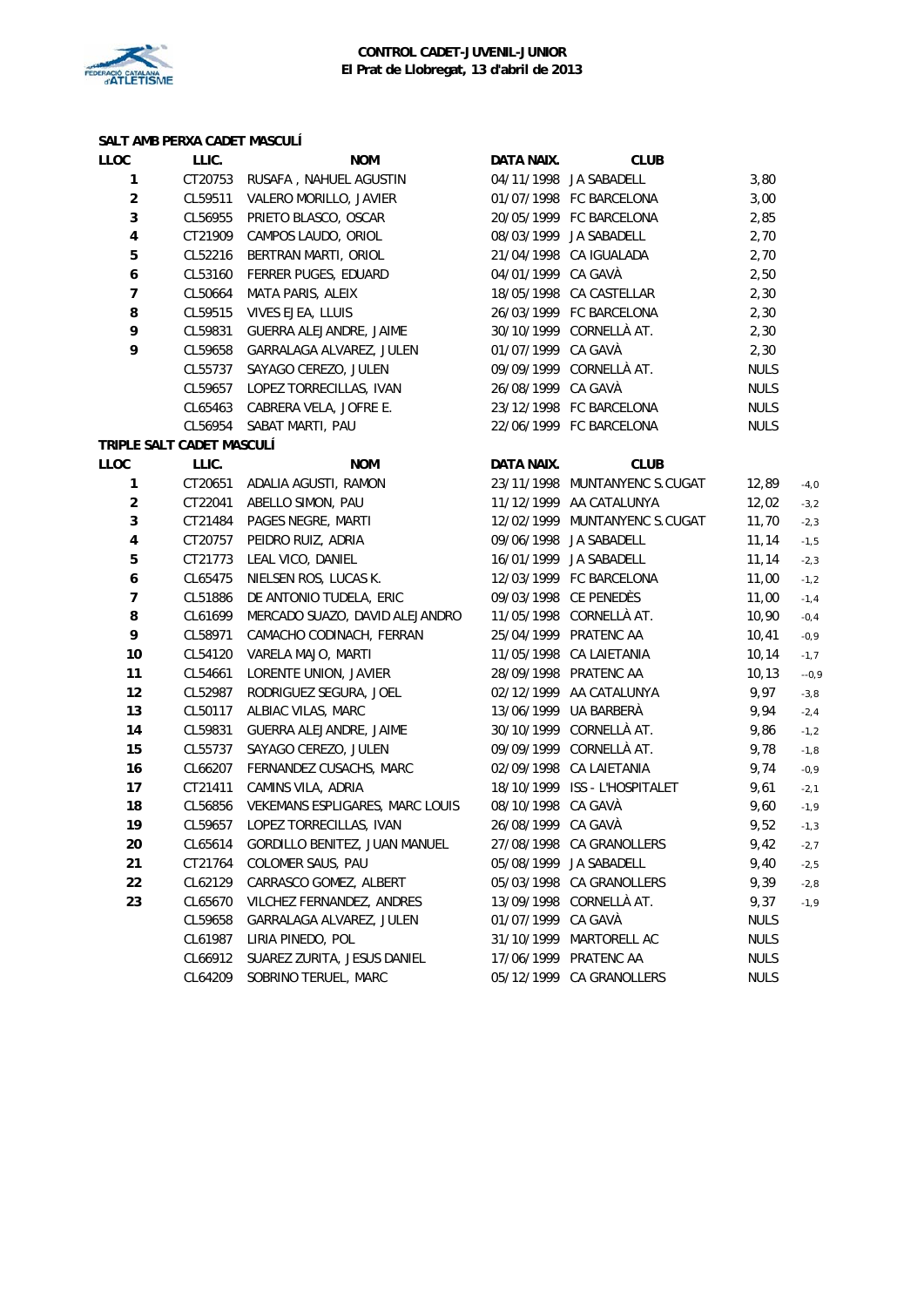

# **SALT AMB PERXA CADET MASCULÍ**

| <b>LLOC</b>               | LLIC.   | <b>NOM</b>                            | DATA NAIX.         | <b>CLUB</b>                   |             |         |
|---------------------------|---------|---------------------------------------|--------------------|-------------------------------|-------------|---------|
| 1                         | CT20753 | RUSAFA, NAHUEL AGUSTIN                |                    | 04/11/1998 JA SABADELL        | 3,80        |         |
| $\overline{c}$            | CL59511 | VALERO MORILLO, JAVIER                |                    | 01/07/1998 FC BARCELONA       | 3,00        |         |
| 3                         | CL56955 | PRIETO BLASCO, OSCAR                  |                    | 20/05/1999 FC BARCELONA       | 2,85        |         |
| $\overline{\mathbf{4}}$   | CT21909 | CAMPOS LAUDO, ORIOL                   |                    | 08/03/1999 JA SABADELL        | 2,70        |         |
| 5                         | CL52216 | BERTRAN MARTI, ORIOL                  |                    | 21/04/1998 CA IGUALADA        | 2,70        |         |
| $\boldsymbol{6}$          | CL53160 | FERRER PUGES, EDUARD                  | 04/01/1999 CA GAVÀ |                               | 2,50        |         |
| $\overline{7}$            | CL50664 | MATA PARIS, ALEIX                     |                    | 18/05/1998 CA CASTELLAR       | 2,30        |         |
| 8                         | CL59515 | VIVES EJEA, LLUIS                     |                    | 26/03/1999 FC BARCELONA       | 2,30        |         |
| 9                         | CL59831 | GUERRA ALEJANDRE, JAIME               |                    | 30/10/1999 CORNELLÀ AT.       | 2,30        |         |
| 9                         | CL59658 | GARRALAGA ALVAREZ, JULEN              | 01/07/1999 CA GAVÀ |                               | 2,30        |         |
|                           | CL55737 | SAYAGO CEREZO, JULEN                  |                    | 09/09/1999 CORNELLÀ AT.       | <b>NULS</b> |         |
|                           | CL59657 | LOPEZ TORRECILLAS, IVAN               | 26/08/1999 CA GAVÀ |                               | <b>NULS</b> |         |
|                           | CL65463 | CABRERA VELA, JOFRE E.                |                    | 23/12/1998 FC BARCELONA       | NULS        |         |
|                           |         | CL56954 SABAT MARTI, PAU              |                    | 22/06/1999 FC BARCELONA       | <b>NULS</b> |         |
| TRIPLE SALT CADET MASCULÍ |         |                                       |                    |                               |             |         |
| <b>LLOC</b>               | LLIC.   | <b>NOM</b>                            | DATA NAIX.         | <b>CLUB</b>                   |             |         |
| 1                         |         | CT20651 ADALIA AGUSTI, RAMON          |                    | 23/11/1998 MUNTANYENC S.CUGAT | 12,89       | $-4,0$  |
| $\mathbf 2$               |         | CT22041 ABELLO SIMON, PAU             |                    | 11/12/1999 AA CATALUNYA       | 12,02       | $-3,2$  |
| 3                         | CT21484 | PAGES NEGRE, MARTI                    |                    | 12/02/1999 MUNTANYENC S.CUGAT | 11,70       | $-2,3$  |
| $\overline{\mathbf{4}}$   | CT20757 | PEIDRO RUIZ, ADRIA                    |                    | 09/06/1998 JA SABADELL        | 11,14       | $-1,5$  |
| 5                         | CT21773 | LEAL VICO, DANIEL                     |                    | 16/01/1999 JA SABADELL        | 11,14       | $-2,3$  |
| $\boldsymbol{6}$          | CL65475 | NIELSEN ROS, LUCAS K.                 |                    | 12/03/1999 FC BARCELONA       | 11,00       | $-1,2$  |
| $\overline{7}$            | CL51886 | DE ANTONIO TUDELA, ERIC               |                    | 09/03/1998 CE PENEDÈS         | 11,00       | $-1, 4$ |
| 8                         | CL61699 | MERCADO SUAZO, DAVID ALEJANDRO        |                    | 11/05/1998 CORNELLÀ AT.       | 10,90       | $-0,4$  |
| 9                         | CL58971 | CAMACHO CODINACH, FERRAN              |                    | 25/04/1999 PRATENC AA         | 10,41       | $-0,9$  |
| 10                        | CL54120 | VARELA MAJO, MARTI                    |                    | 11/05/1998 CA LAIETANIA       | 10, 14      | $-1,7$  |
| 11                        | CL54661 | LORENTE UNION, JAVIER                 |                    | 28/09/1998 PRATENC AA         | 10, 13      | $-0,9$  |
| 12                        | CL52987 | RODRIGUEZ SEGURA, JOEL                |                    | 02/12/1999 AA CATALUNYA       | 9,97        | $-3,8$  |
| 13                        | CL50117 | ALBIAC VILAS, MARC                    |                    | 13/06/1999 UA BARBERÀ         | 9,94        | $-2,4$  |
| 14                        | CL59831 | GUERRA ALEJANDRE, JAIME               |                    | 30/10/1999 CORNELLÀ AT.       | 9,86        | $-1,2$  |
| 15                        | CL55737 | SAYAGO CEREZO, JULEN                  |                    | 09/09/1999 CORNELLÀ AT.       | 9,78        | $-1,8$  |
| 16                        | CL66207 | FERNANDEZ CUSACHS, MARC               |                    | 02/09/1998 CA LAIETANIA       | 9,74        | $-0,9$  |
| 17                        | CT21411 | CAMINS VILA, ADRIA                    |                    | 18/10/1999 ISS - L'HOSPITALET | 9,61        | $-2,1$  |
| 18                        | CL56856 | VEKEMANS ESPLIGARES, MARC LOUIS       | 08/10/1998 CA GAVÀ |                               | 9,60        | $-1,9$  |
| 19                        | CL59657 | LOPEZ TORRECILLAS, IVAN               | 26/08/1999 CA GAVÀ |                               | 9,52        | $-1,3$  |
| 20                        |         | CL65614 GORDILLO BENITEZ, JUAN MANUEL |                    | 27/08/1998 CA GRANOLLERS      | 9,42        | $-2,7$  |
| 21                        | CT21764 | COLOMER SAUS, PAU                     |                    | 05/08/1999 JA SABADELL        | 9,40        | $-2,5$  |
| 22                        | CL62129 | CARRASCO GOMEZ, ALBERT                |                    | 05/03/1998 CA GRANOLLERS      | 9,39        | $-2,8$  |
| 23                        | CL65670 | VILCHEZ FERNANDEZ, ANDRES             |                    | 13/09/1998 CORNELLÀ AT.       | 9,37        | $-1,9$  |
|                           | CL59658 | GARRALAGA ALVAREZ, JULEN              | 01/07/1999 CA GAVÀ |                               | <b>NULS</b> |         |
|                           | CL61987 | LIRIA PINEDO, POL                     | 31/10/1999         | MARTORELL AC                  | <b>NULS</b> |         |
|                           | CL66912 | SUAREZ ZURITA, JESUS DANIEL           |                    | 17/06/1999 PRATENC AA         | <b>NULS</b> |         |
|                           | CL64209 | SOBRINO TERUEL, MARC                  |                    | 05/12/1999 CA GRANOLLERS      | <b>NULS</b> |         |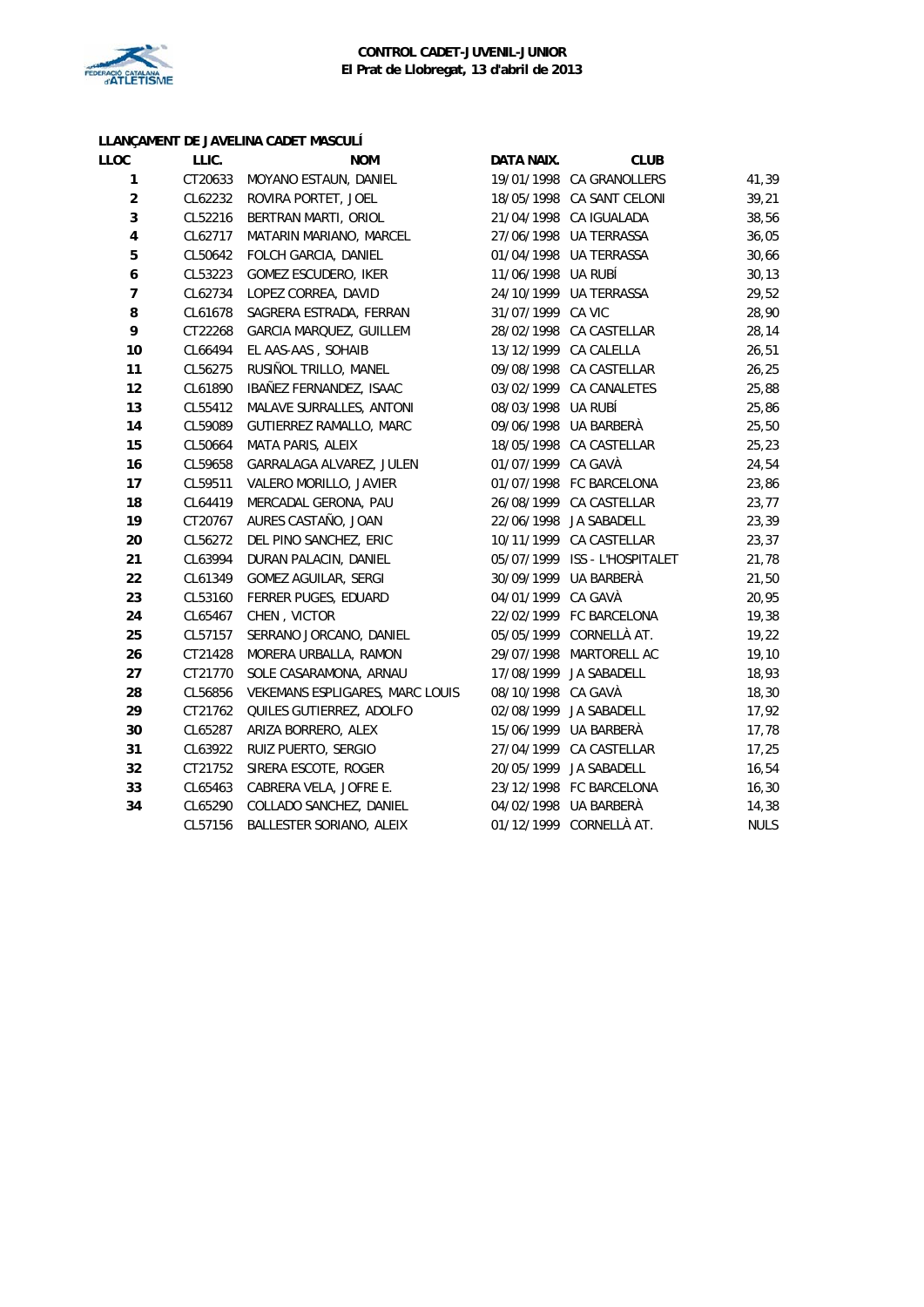

#### **LLANÇAMENT DE JAVELINA CADET MASCULÍ**

| LLOC             | LLIC.   | <b>NOM</b>                      | DATA NAIX.         | <b>CLUB</b>                   |             |
|------------------|---------|---------------------------------|--------------------|-------------------------------|-------------|
| 1                | CT20633 | MOYANO ESTAUN, DANIEL           |                    | 19/01/1998 CA GRANOLLERS      | 41,39       |
| $\boldsymbol{2}$ | CL62232 | ROVIRA PORTET, JOEL             |                    | 18/05/1998 CA SANT CELONI     | 39,21       |
| 3                | CL52216 | BERTRAN MARTI, ORIOL            |                    | 21/04/1998 CA IGUALADA        | 38,56       |
| 4                | CL62717 | MATARIN MARIANO, MARCEL         |                    | 27/06/1998 UA TERRASSA        | 36,05       |
| 5                | CL50642 | FOLCH GARCIA, DANIEL            |                    | 01/04/1998 UA TERRASSA        | 30,66       |
| 6                | CL53223 | GOMEZ ESCUDERO, IKER            | 11/06/1998 UA RUBÍ |                               | 30, 13      |
| $\overline{7}$   | CL62734 | LOPEZ CORREA, DAVID             |                    | 24/10/1999 UA TERRASSA        | 29,52       |
| 8                | CL61678 | SAGRERA ESTRADA, FERRAN         | 31/07/1999 CA VIC  |                               | 28,90       |
| 9                | CT22268 | <b>GARCIA MARQUEZ, GUILLEM</b>  |                    | 28/02/1998 CA CASTELLAR       | 28,14       |
| 10               | CL66494 | EL AAS-AAS, SOHAIB              |                    | 13/12/1999 CA CALELLA         | 26,51       |
| 11               | CL56275 | RUSIÑOL TRILLO, MANEL           |                    | 09/08/1998 CA CASTELLAR       | 26,25       |
| 12               | CL61890 | IBAÑEZ FERNANDEZ, ISAAC         |                    | 03/02/1999 CA CANALETES       | 25,88       |
| 13               | CL55412 | MALAVE SURRALLES, ANTONI        | 08/03/1998 UA RUBÍ |                               | 25,86       |
| 14               | CL59089 | GUTIERREZ RAMALLO, MARC         |                    | 09/06/1998 UA BARBERÀ         | 25,50       |
| 15               | CL50664 | MATA PARIS, ALEIX               |                    | 18/05/1998 CA CASTELLAR       | 25,23       |
| 16               | CL59658 | GARRALAGA ALVAREZ, JULEN        | 01/07/1999 CA GAVÀ |                               | 24,54       |
| 17               | CL59511 | VALERO MORILLO, JAVIER          |                    | 01/07/1998 FC BARCELONA       | 23,86       |
| 18               | CL64419 | MERCADAL GERONA, PAU            |                    | 26/08/1999 CA CASTELLAR       | 23,77       |
| 19               | CT20767 | AURES CASTAÑO, JOAN             |                    | 22/06/1998 JA SABADELL        | 23,39       |
| 20               | CL56272 | DEL PINO SANCHEZ, ERIC          |                    | 10/11/1999 CA CASTELLAR       | 23,37       |
| 21               | CL63994 | DURAN PALACIN, DANIEL           |                    | 05/07/1999 ISS - L'HOSPITALET | 21,78       |
| 22               | CL61349 | GOMEZ AGUILAR, SERGI            | 30/09/1999         | UA BARBERÀ                    | 21,50       |
| 23               | CL53160 | FERRER PUGES, EDUARD            | 04/01/1999         | CA GAVÀ                       | 20,95       |
| 24               | CL65467 | CHEN, VICTOR                    |                    | 22/02/1999 FC BARCELONA       | 19,38       |
| 25               | CL57157 | SERRANO JORCANO, DANIEL         |                    | 05/05/1999 CORNELLÀ AT.       | 19,22       |
| 26               | CT21428 | MORERA URBALLA, RAMON           |                    | 29/07/1998 MARTORELL AC       | 19,10       |
| 27               | CT21770 | SOLE CASARAMONA, ARNAU          |                    | 17/08/1999 JA SABADELL        | 18,93       |
| 28               | CL56856 | VEKEMANS ESPLIGARES, MARC LOUIS | 08/10/1998 CA GAVÀ |                               | 18,30       |
| 29               | CT21762 | QUILES GUTIERREZ, ADOLFO        |                    | 02/08/1999 JA SABADELL        | 17,92       |
| 30               | CL65287 | ARIZA BORRERO, ALEX             |                    | 15/06/1999 UA BARBERÀ         | 17,78       |
| 31               | CL63922 | RUIZ PUERTO, SERGIO             |                    | 27/04/1999 CA CASTELLAR       | 17,25       |
| 32               | CT21752 | SIRERA ESCOTE, ROGER            |                    | 20/05/1999 JA SABADELL        | 16,54       |
| 33               | CL65463 | CABRERA VELA, JOFRE E.          |                    | 23/12/1998 FC BARCELONA       | 16, 30      |
| 34               | CL65290 | COLLADO SANCHEZ, DANIEL         |                    | 04/02/1998 UA BARBERÀ         | 14,38       |
|                  | CL57156 | BALLESTER SORIANO, ALEIX        |                    | 01/12/1999 CORNELLÀ AT.       | <b>NULS</b> |
|                  |         |                                 |                    |                               |             |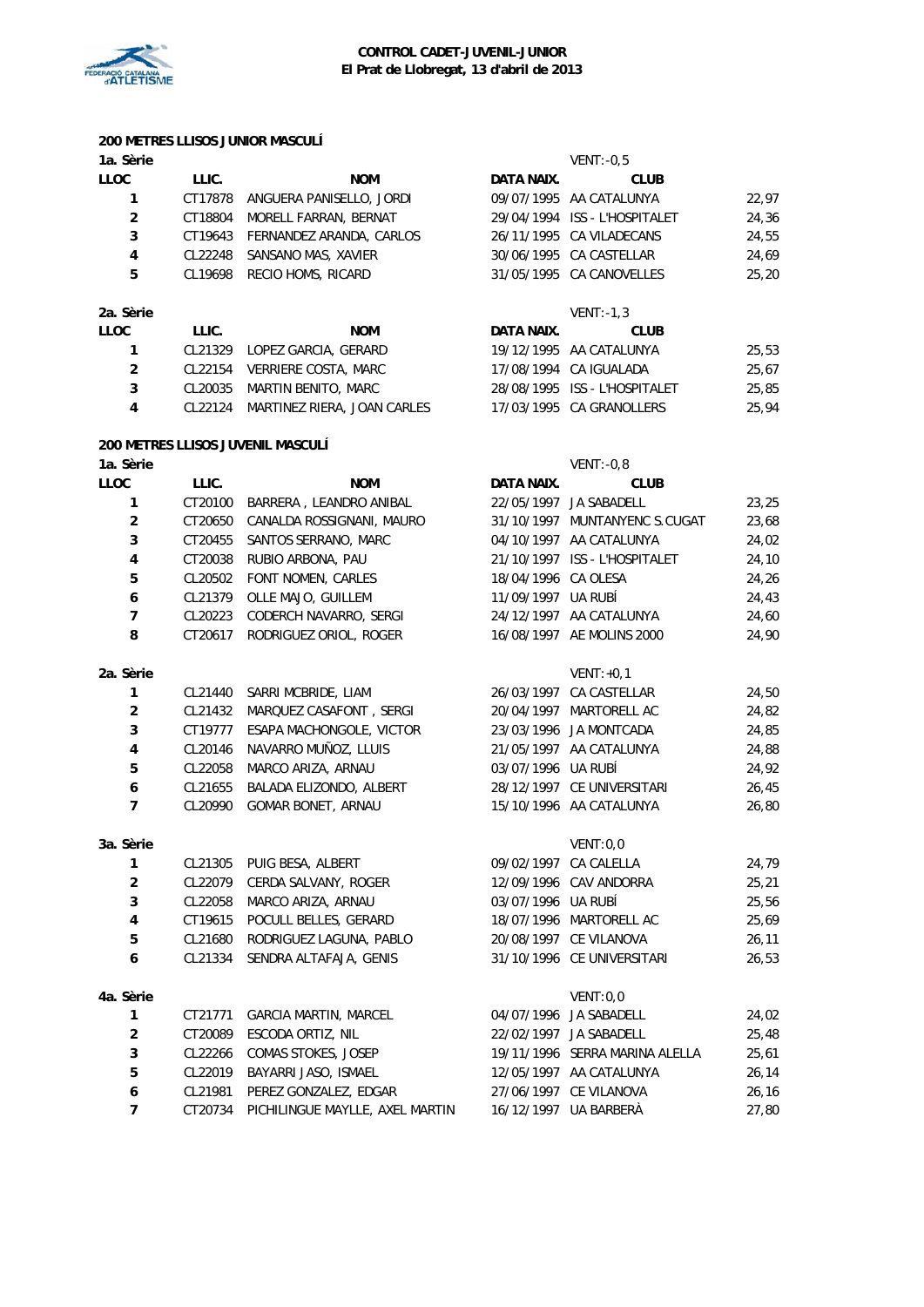

# **200 METRES LLISOS JUNIOR MASCULÍ**

| 1a. Sèrie      |         |                          |            | $VENT: -0.5$                  |       |
|----------------|---------|--------------------------|------------|-------------------------------|-------|
| LLOC           | LLIC.   | <b>NOM</b>               | DATA NAIX. | <b>CLUB</b>                   |       |
|                | CT17878 | ANGUERA PANISELLO, JORDI |            | 09/07/1995 AA CATALUNYA       | 22,97 |
| $\overline{2}$ | CT18804 | MORELL FARRAN, BERNAT    |            | 29/04/1994 ISS - L'HOSPITALET | 24,36 |
| 3              | CT19643 | FERNANDEZ ARANDA, CARLOS |            | 26/11/1995 CA VILADECANS      | 24,55 |
| 4              | CL22248 | SANSANO MAS, XAVIER      |            | 30/06/1995 CA CASTELLAR       | 24,69 |
| 5              | CL19698 | RECIO HOMS, RICARD       |            | 31/05/1995 CA CANOVELLES      | 25,20 |
| 2a. Sèrie      |         |                          |            | $VENT: -1.3$                  |       |
| LLOC           | LLIC.   | <b>NOM</b>               | DATA NAIX. | <b>CLUB</b>                   |       |
| 1              | CL21329 | LOPEZ GARCIA, GERARD     |            | 19/12/1995 AA CATALUNYA       | 25,53 |
| $\overline{2}$ | CL22154 | VERRIERE COSTA, MARC     |            | 17/08/1994 CA IGUALADA        | 25,67 |
| 3              | CL20035 | MARTIN BENITO, MARC      |            | 28/08/1995 ISS - L'HOSPITALET | 25,85 |

CL22124 MARTINEZ RIERA, JOAN CARLES 17/03/1995 CA GRANOLLERS 25,94

#### **200 METRES LLISOS JUVENIL MASCULÍ**

| 1a. Sèrie               |         |                              |                     | $VENT: -0,8$                   |       |
|-------------------------|---------|------------------------------|---------------------|--------------------------------|-------|
| <b>LLOC</b>             | LLIC.   | <b>NOM</b>                   | DATA NAIX.          | <b>CLUB</b>                    |       |
| 1                       | CT20100 | BARRERA, LEANDRO ANIBAL      |                     | 22/05/1997 JA SABADELL         | 23,25 |
| $\mathbf 2$             | CT20650 | CANALDA ROSSIGNANI, MAURO    |                     | 31/10/1997 MUNTANYENC S.CUGAT  | 23,68 |
| 3                       | CT20455 | SANTOS SERRANO, MARC         |                     | 04/10/1997 AA CATALUNYA        | 24,02 |
| 4                       | CT20038 | RUBIO ARBONA, PAU            |                     | 21/10/1997 ISS - L'HOSPITALET  | 24,10 |
| 5                       | CL20502 | FONT NOMEN, CARLES           | 18/04/1996 CA OLESA |                                | 24,26 |
| 6                       | CL21379 | OLLE MAJO, GUILLEM           | 11/09/1997 UA RUBÍ  |                                | 24,43 |
| $\overline{7}$          | CL20223 | CODERCH NAVARRO, SERGI       |                     | 24/12/1997 AA CATALUNYA        | 24,60 |
| 8                       | CT20617 | RODRIGUEZ ORIOL, ROGER       |                     | 16/08/1997 AE MOLINS 2000      | 24,90 |
| 2a. Sèrie               |         |                              |                     | $VENT: +0,1$                   |       |
| 1                       | CL21440 | SARRI MCBRIDE, LIAM          |                     | 26/03/1997 CA CASTELLAR        | 24,50 |
| $\overline{2}$          | CL21432 | MARQUEZ CASAFONT, SERGI      | 20/04/1997          | MARTORELL AC                   | 24,82 |
| 3                       | CT19777 | ESAPA MACHONGOLE, VICTOR     |                     | 23/03/1996 JA MONTCADA         | 24,85 |
| $\pmb{4}$               | CL20146 | NAVARRO MUÑOZ, LLUIS         |                     | 21/05/1997 AA CATALUNYA        | 24,88 |
| 5                       | CL22058 | MARCO ARIZA, ARNAU           | 03/07/1996 UA RUBÍ  |                                | 24,92 |
| 6                       | CL21655 | BALADA ELIZONDO, ALBERT      |                     | 28/12/1997 CE UNIVERSITARI     | 26,45 |
| $\overline{7}$          | CL20990 | <b>GOMAR BONET, ARNAU</b>    |                     | 15/10/1996 AA CATALUNYA        | 26,80 |
| 3a. Sèrie               |         |                              |                     | VENT:0,0                       |       |
| 1                       | CL21305 | PUIG BESA, ALBERT            |                     | 09/02/1997 CA CALELLA          | 24,79 |
| $\overline{\mathbf{c}}$ | CL22079 | CERDA SALVANY, ROGER         |                     | 12/09/1996 CAV ANDORRA         | 25,21 |
| 3                       | CL22058 | MARCO ARIZA, ARNAU           | 03/07/1996 UA RUBÍ  |                                | 25,56 |
| $\overline{4}$          | CT19615 | POCULL BELLES, GERARD        |                     | 18/07/1996 MARTORELL AC        | 25,69 |
| 5                       | CL21680 | RODRIGUEZ LAGUNA, PABLO      |                     | 20/08/1997 CE VILANOVA         | 26,11 |
| 6                       | CL21334 | SENDRA ALTAFAJA, GENIS       |                     | 31/10/1996 CE UNIVERSITARI     | 26,53 |
| 4a. Sèrie               |         |                              |                     | VENT:0,0                       |       |
| 1                       | CT21771 | <b>GARCIA MARTIN, MARCEL</b> |                     | 04/07/1996 JA SABADELL         | 24,02 |
| $\overline{2}$          | CT20089 | ESCODA ORTIZ, NIL            |                     | 22/02/1997 JA SABADELL         | 25,48 |
| 3                       | CL22266 | COMAS STOKES, JOSEP          |                     | 19/11/1996 SERRA MARINA ALELLA | 25,61 |

**5** CL22019 BAYARRI JASO, ISMAEL 12/05/1997 AA CATALUNYA 26,14<br>**4** CL21991 BEREZ CONZALEZ EDGAR 27/06/1997 CE VILANOVA 26.16 CL21981 PEREZ GONZALEZ, EDGAR 27/06/1997 CE VILANOVA 26,16 CT20734 PICHILINGUE MAYLLE, AXEL MARTIN 16/12/1997 UA BARBERÀ 27,80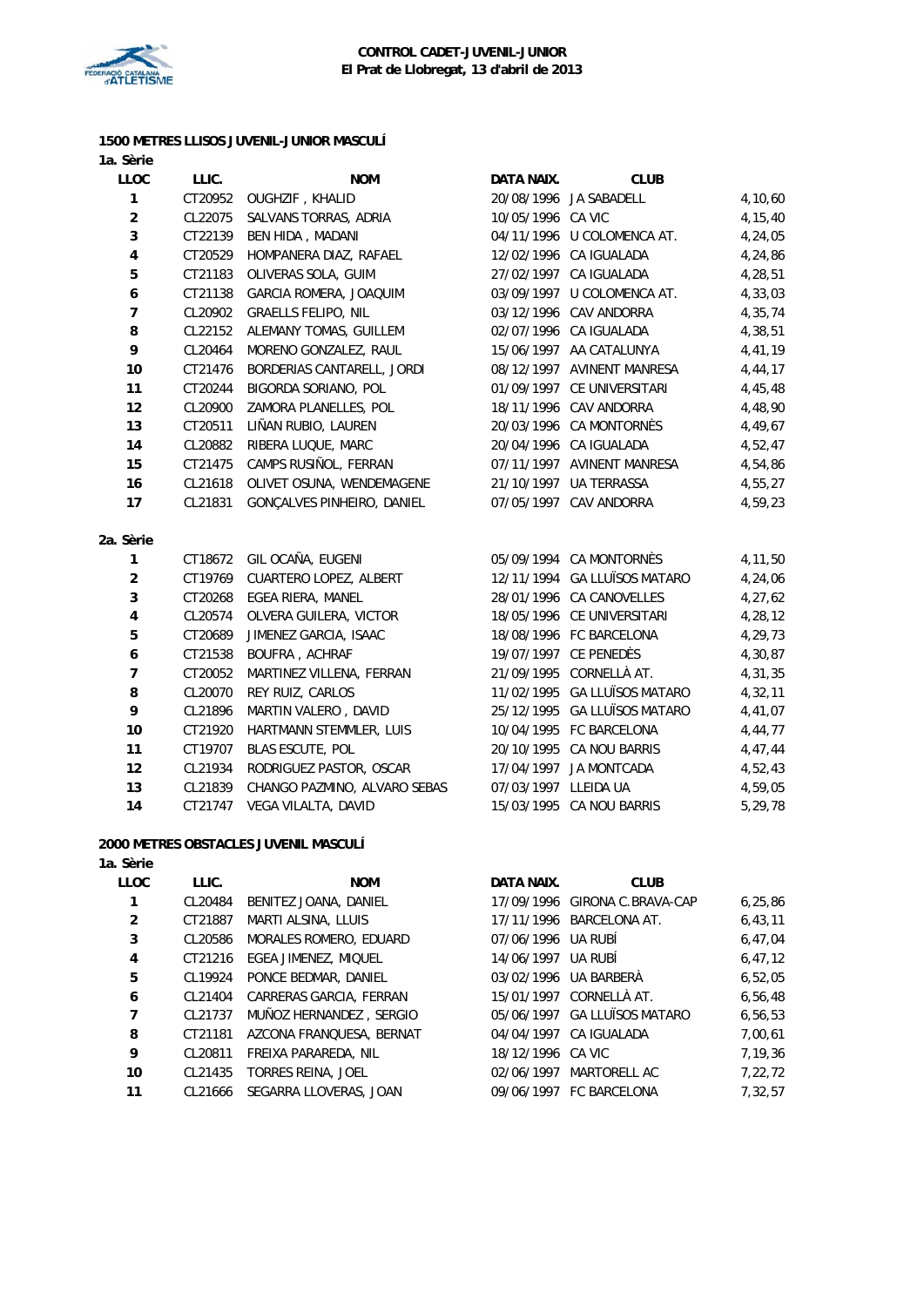

#### **1500 METRES LLISOS JUVENIL-JUNIOR MASCULÍ 1a. Sèrie**

| <b>LLOC</b>             | LLIC.   | <b>NOM</b>                    | DATA NAIX.           | <b>CLUB</b>                  |         |
|-------------------------|---------|-------------------------------|----------------------|------------------------------|---------|
| 1                       | CT20952 | <b>OUGHZIF, KHALID</b>        |                      | 20/08/1996 JA SABADELL       | 4,10,60 |
| $\overline{2}$          | CL22075 | SALVANS TORRAS, ADRIA         | 10/05/1996 CA VIC    |                              | 4,15,40 |
| 3                       | CT22139 | BEN HIDA, MADANI              |                      | 04/11/1996 U COLOMENCA AT.   | 4,24,05 |
| 4                       | CT20529 | HOMPANERA DIAZ, RAFAEL        |                      | 12/02/1996 CA IGUALADA       | 4,24,86 |
| 5                       | CT21183 | OLIVERAS SOLA, GUIM           |                      | 27/02/1997 CA IGUALADA       | 4,28,51 |
| 6                       | CT21138 | GARCIA ROMERA, JOAQUIM        |                      | 03/09/1997 U COLOMENCA AT.   | 4,33,03 |
| $\overline{7}$          | CL20902 | <b>GRAELLS FELIPO, NIL</b>    |                      | 03/12/1996 CAV ANDORRA       | 4,35,74 |
| 8                       | CL22152 | ALEMANY TOMAS, GUILLEM        |                      | 02/07/1996 CA IGUALADA       | 4,38,51 |
| 9                       | CL20464 | MORENO GONZALEZ, RAUL         |                      | 15/06/1997 AA CATALUNYA      | 4,41,19 |
| 10                      | CT21476 | BORDERIAS CANTARELL, JORDI    |                      | 08/12/1997 AVINENT MANRESA   | 4,44,17 |
| 11                      | CT20244 | BIGORDA SORIANO, POL          |                      | 01/09/1997 CE UNIVERSITARI   | 4,45,48 |
| 12                      | CL20900 | ZAMORA PLANELLES, POL         |                      | 18/11/1996 CAV ANDORRA       | 4,48,90 |
| 13                      | CT20511 | LIÑAN RUBIO, LAUREN           |                      | 20/03/1996 CA MONTORNÈS      | 4,49,67 |
| 14                      | CL20882 | RIBERA LUQUE, MARC            |                      | 20/04/1996 CA IGUALADA       | 4,52,47 |
| 15                      | CT21475 | CAMPS RUSIÑOL, FERRAN         |                      | 07/11/1997 AVINENT MANRESA   | 4,54,86 |
| 16                      | CL21618 | OLIVET OSUNA, WENDEMAGENE     |                      | 21/10/1997 UA TERRASSA       | 4,55,27 |
| 17                      | CL21831 | GONÇALVES PINHEIRO, DANIEL    |                      | 07/05/1997 CAV ANDORRA       | 4,59,23 |
| 2a. Sèrie               |         |                               |                      |                              |         |
| 1                       | CT18672 | GIL OCAÑA, EUGENI             |                      | 05/09/1994 CA MONTORNÈS      | 4,11,50 |
| $\overline{2}$          | CT19769 | <b>CUARTERO LOPEZ, ALBERT</b> |                      | 12/11/1994 GA LLUÏSOS MATARO | 4,24,06 |
| 3                       | CT20268 | EGEA RIERA, MANEL             |                      | 28/01/1996 CA CANOVELLES     | 4,27,62 |
| $\overline{\mathbf{4}}$ | CL20574 | OLVERA GUILERA, VICTOR        |                      | 18/05/1996 CE UNIVERSITARI   | 4,28,12 |
| 5                       | CT20689 | JIMENEZ GARCIA, ISAAC         |                      | 18/08/1996 FC BARCELONA      | 4,29,73 |
| 6                       | CT21538 | BOUFRA, ACHRAF                |                      | 19/07/1997 CE PENEDÈS        | 4,30,87 |
| $\overline{7}$          | CT20052 | MARTINEZ VILLENA, FERRAN      |                      | 21/09/1995 CORNELLÀ AT.      | 4,31,35 |
| 8                       | CL20070 | REY RUIZ, CARLOS              |                      | 11/02/1995 GA LLUÏSOS MATARO | 4,32,11 |
| 9                       | CL21896 | MARTIN VALERO, DAVID          |                      | 25/12/1995 GA LLUÏSOS MATARO | 4,41,07 |
| 10                      | CT21920 | HARTMANN STEMMLER, LUIS       |                      | 10/04/1995 FC BARCELONA      | 4,44,77 |
| 11                      | CT19707 | <b>BLAS ESCUTE, POL</b>       |                      | 20/10/1995 CA NOU BARRIS     | 4,47,44 |
| 12                      | CL21934 | RODRIGUEZ PASTOR, OSCAR       |                      | 17/04/1997 JA MONTCADA       | 4,52,43 |
| 13                      | CL21839 | CHANGO PAZMINO, ALVARO SEBAS  | 07/03/1997 LLEIDA UA |                              | 4,59,05 |
| 14                      | CT21747 | VEGA VILALTA, DAVID           |                      | 15/03/1995 CA NOU BARRIS     | 5,29,78 |
|                         |         |                               |                      |                              |         |

# **2000 METRES OBSTACLES JUVENIL MASCULÍ**

#### **1a. Sèrie**

| <b>LLOC</b>    | LLIC.   | <b>NOM</b>                     | DATA NAIX.         | <b>CLUB</b>                   |           |
|----------------|---------|--------------------------------|--------------------|-------------------------------|-----------|
| 1              | CL20484 | BENITEZ JOANA, DANIEL          |                    | 17/09/1996 GIRONA C.BRAVA-CAP | 6, 25, 86 |
| $\overline{2}$ | CT21887 | MARTI ALSINA, LLUIS            |                    | 17/11/1996 BARCELONA AT.      | 6, 43, 11 |
| 3              | CL20586 | MORALES ROMERO, EDUARD         | 07/06/1996 UA RUBÍ |                               | 6,47,04   |
| 4              | CT21216 | EGEA JIMENEZ, MIQUEL           | 14/06/1997 UA RUBÍ |                               | 6, 47, 12 |
| 5              | CL19924 | PONCE BEDMAR, DANIEL           |                    | 03/02/1996 UA BARBERÀ         | 6, 52, 05 |
| 6              | CL21404 | CARRERAS GARCIA, FERRAN        |                    | 15/01/1997 CORNELLÀ AT.       | 6,56,48   |
| $\overline{7}$ | CL21737 | MUÑOZ HERNANDEZ, SERGIO        |                    | 05/06/1997 GA LLUÏSOS MATARO  | 6,56,53   |
| 8              | CT21181 | AZCONA FRANQUESA, BERNAT       |                    | 04/04/1997 CA IGUALADA        | 7,00,61   |
| 9              | CL20811 | FREIXA PARAREDA, NIL           | 18/12/1996 CA VIC  |                               | 7,19,36   |
| 10             | CL21435 | TORRES REINA, JOEL             | 02/06/1997         | MARTORELL AC                  | 7,22,72   |
| 11             |         | CL21666 SEGARRA LLOVERAS, JOAN |                    | 09/06/1997 FC BARCELONA       | 7,32,57   |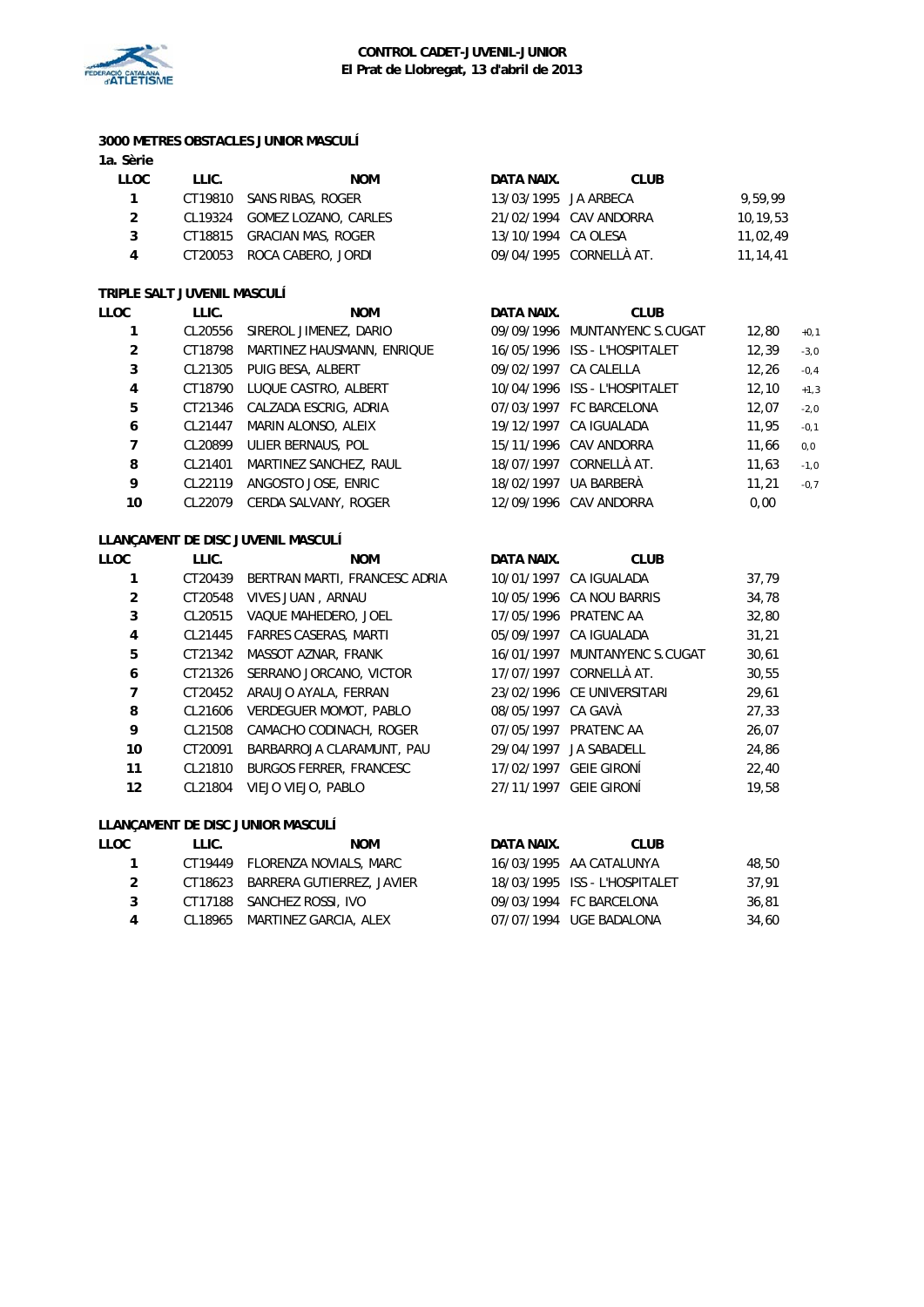

#### **3000 METRES OBSTACLES JUNIOR MASCULÍ 1a. Sèrie**

| LLOC | LLIC. | <b>NOM</b>                   | DATA NAIX.           | <b>CLUB</b>             |          |
|------|-------|------------------------------|----------------------|-------------------------|----------|
| 1    |       | CT19810 SANS RIBAS, ROGER    | 13/03/1995 JA ARBECA |                         | 9.59.99  |
| 2    |       | CL19324 GOMEZ LOZANO, CARLES |                      | 21/02/1994 CAV ANDORRA  | 10,19,53 |
| 3    |       | CT18815 GRACIAN MAS, ROGER   | 13/10/1994 CA OLESA  |                         | 11,02,49 |
| 4    |       | CT20053 ROCA CABERO, JORDI   |                      | 09/04/1995 CORNELLÀ AT. | 11,14,41 |
|      |       |                              |                      |                         |          |

#### **TRIPLE SALT JUVENIL MASCULÍ**

| LLOC | LLIC.   | <b>NOM</b>                 | DATA NAIX. | <b>CLUB</b>                   |       |        |
|------|---------|----------------------------|------------|-------------------------------|-------|--------|
|      | CL20556 | SIREROL JIMENEZ, DARIO     |            | 09/09/1996 MUNTANYENC S.CUGAT | 12,80 | $+0,1$ |
| 2    | CT18798 | MARTINEZ HAUSMANN, ENRIQUE |            | 16/05/1996 ISS - L'HOSPITALET | 12,39 | $-3,0$ |
| 3    | CL21305 | PUIG BESA, ALBERT          |            | 09/02/1997 CA CALELLA         | 12,26 | $-0,4$ |
| 4    | CT18790 | LUQUE CASTRO, ALBERT       |            | 10/04/1996 ISS - L'HOSPITALET | 12,10 | $+1,3$ |
| 5    | CT21346 | CALZADA ESCRIG, ADRIA      |            | 07/03/1997 FC BARCELONA       | 12,07 | $-2,0$ |
| 6    | CL21447 | MARIN ALONSO, ALEIX        |            | 19/12/1997 CA IGUALADA        | 11,95 | $-0,1$ |
| 7    | CL20899 | ULIER BERNAUS, POL         |            | 15/11/1996 CAV ANDORRA        | 11,66 | 0,0    |
| 8    | CL21401 | MARTINEZ SANCHEZ, RAUL     |            | 18/07/1997 CORNELLÀ AT.       | 11,63 | $-1,0$ |
| 9    | CL22119 | ANGOSTO JOSE, ENRIC        |            | 18/02/1997 UA BARBERÀ         | 11,21 | $-0,7$ |
| 10   | CL22079 | CERDA SALVANY, ROGER       |            | 12/09/1996 CAV ANDORRA        | 0,00  |        |
|      |         |                            |            |                               |       |        |

# **LLANÇAMENT DE DISC JUVENIL MASCULÍ**

| LLOC              | LLIC.   | <b>NOM</b>                     | DATA NAIX.         | <b>CLUB</b>                   |       |
|-------------------|---------|--------------------------------|--------------------|-------------------------------|-------|
|                   | CT20439 | BERTRAN MARTI, FRANCESC ADRIA  |                    | 10/01/1997 CA IGUALADA        | 37,79 |
| $\overline{2}$    | CT20548 | VIVES JUAN, ARNAU              |                    | 10/05/1996 CA NOU BARRIS      | 34,78 |
| 3                 | CL20515 | VAQUE MAHEDERO, JOEL           |                    | 17/05/1996 PRATENC AA         | 32,80 |
| 4                 | CL21445 | <b>FARRES CASERAS, MARTI</b>   |                    | 05/09/1997 CA IGUALADA        | 31,21 |
| 5                 | CT21342 | MASSOT AZNAR, FRANK            |                    | 16/01/1997 MUNTANYENC S.CUGAT | 30,61 |
| 6                 | CT21326 | SERRANO JORCANO, VICTOR        |                    | 17/07/1997 CORNELLÀ AT.       | 30,55 |
| 7                 | CT20452 | ARAUJO AYALA, FERRAN           |                    | 23/02/1996 CE UNIVERSITARI    | 29,61 |
| 8                 | CL21606 | VERDEGUER MOMOT, PABLO         | 08/05/1997 CA GAVÀ |                               | 27,33 |
| 9                 | CL21508 | CAMACHO CODINACH, ROGER        |                    | 07/05/1997 PRATENC AA         | 26,07 |
| 10                | CT20091 | BARBARROJA CLARAMUNT, PAU      | 29/04/1997         | JA SABADELL                   | 24,86 |
| 11                | CL21810 | <b>BURGOS FERRER, FRANCESC</b> |                    | 17/02/1997 GEIE GIRONÍ        | 22,40 |
| $12 \overline{ }$ | CL21804 | VIEJO VIEJO, PABLO             |                    | 27/11/1997 GEIE GIRONÍ        | 19,58 |
|                   |         |                                |                    |                               |       |

#### **LLANÇAMENT DE DISC JUNIOR MASCULÍ**

| LLOC | LLIC. | NOM                               | DATA NAIX. | CLUB.                         |       |
|------|-------|-----------------------------------|------------|-------------------------------|-------|
|      |       | CT19449 FLORENZA NOVIALS, MARC    |            | 16/03/1995 AA CATALUNYA       | 48,50 |
|      |       | CT18623 BARRERA GUTIERREZ, JAVIER |            | 18/03/1995 ISS - L'HOSPITALET | 37.91 |
| 3    |       | CT17188 SANCHEZ ROSSI, IVO        |            | 09/03/1994 FC BARCELONA       | 36,81 |
| 4    |       | CL18965 MARTINEZ GARCIA, ALEX     |            | 07/07/1994 UGE BADALONA       | 34.60 |
|      |       |                                   |            |                               |       |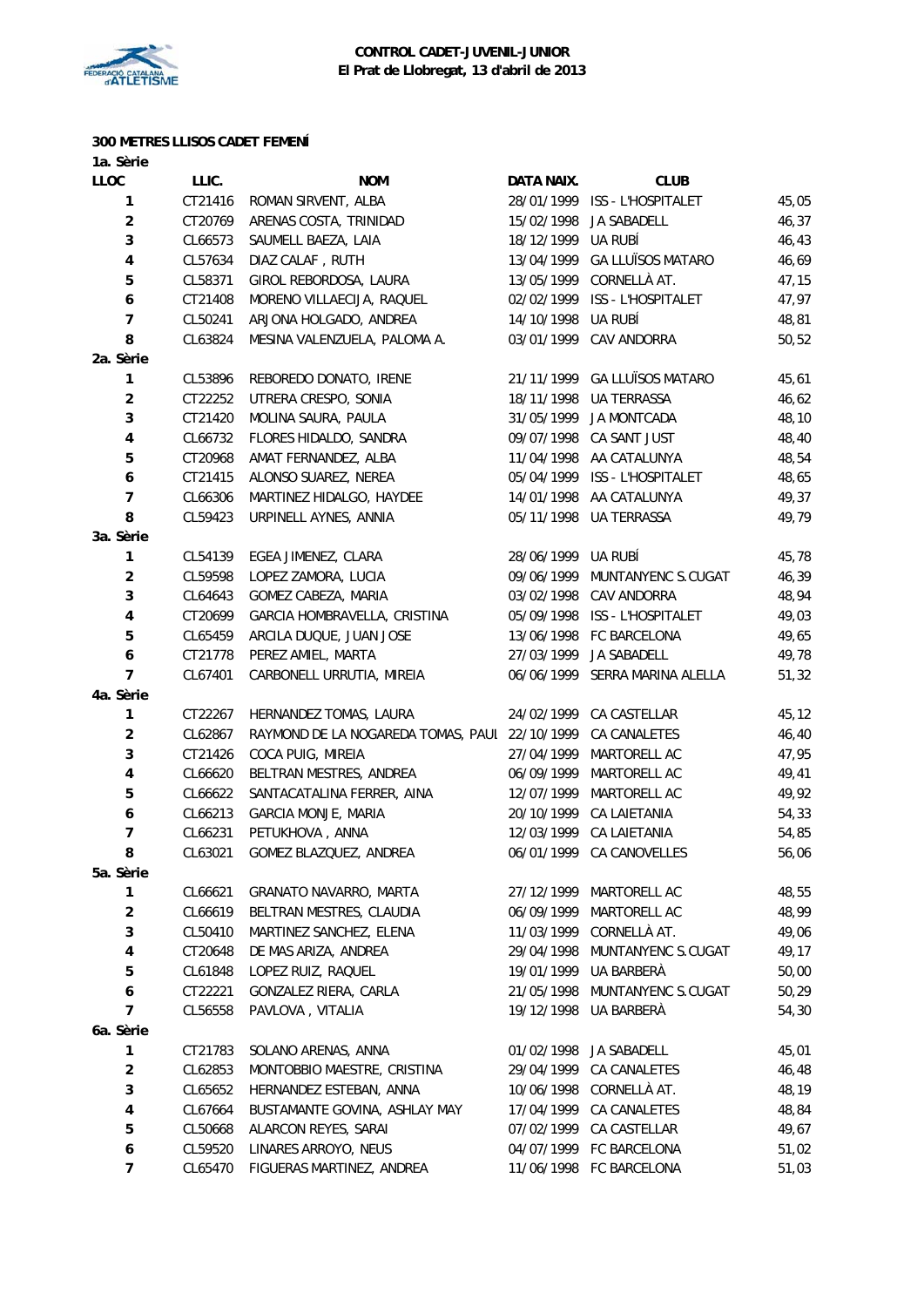

#### **300 METRES LLISOS CADET FEMENÍ**

| 1a. Sèrie                |                                                                          |                                               |            |                               |       |
|--------------------------|--------------------------------------------------------------------------|-----------------------------------------------|------------|-------------------------------|-------|
| LLOC                     | LLIC.                                                                    | <b>NOM</b>                                    | DATA NAIX. | <b>CLUB</b>                   |       |
| 1                        | CT21416                                                                  | ROMAN SIRVENT, ALBA                           |            | 28/01/1999 ISS - L'HOSPITALET | 45,05 |
| $\boldsymbol{2}$         | CT20769                                                                  | ARENAS COSTA, TRINIDAD                        | 15/02/1998 | JA SABADELL                   | 46,37 |
| 3                        | CL66573                                                                  | SAUMELL BAEZA, LAIA                           | 18/12/1999 | UA RUBÍ                       | 46,43 |
| 4                        | CL57634                                                                  | DIAZ CALAF, RUTH                              | 13/04/1999 | <b>GA LLUÏSOS MATARO</b>      | 46,69 |
| 5                        | CL58371                                                                  | GIROL REBORDOSA, LAURA                        | 13/05/1999 | CORNELLÀ AT.                  | 47,15 |
| 6                        | CT21408                                                                  | MORENO VILLAECIJA, RAQUEL                     |            | 02/02/1999 ISS - L'HOSPITALET | 47,97 |
| $\overline{7}$           | CL50241                                                                  | ARJONA HOLGADO, ANDREA                        | 14/10/1998 | ua rubí                       | 48,81 |
| 8                        | CL63824                                                                  | MESINA VALENZUELA, PALOMA A.                  | 03/01/1999 | CAV ANDORRA                   | 50,52 |
| 2a. Sèrie                |                                                                          |                                               |            |                               |       |
| 1                        | CL53896                                                                  | REBOREDO DONATO, IRENE                        | 21/11/1999 | <b>GA LLUÏSOS MATARO</b>      | 45,61 |
| $\boldsymbol{2}$         | CT22252                                                                  | UTRERA CRESPO, SONIA                          | 18/11/1998 | <b>UA TERRASSA</b>            | 46,62 |
| 3                        | CT21420                                                                  | MOLINA SAURA, PAULA                           | 31/05/1999 | JA MONTCADA                   | 48,10 |
| 4                        | CL66732                                                                  | FLORES HIDALDO, SANDRA                        | 09/07/1998 | CA SANT JUST                  | 48,40 |
| 5                        | CT20968                                                                  | AMAT FERNANDEZ, ALBA                          |            | 11/04/1998 AA CATALUNYA       | 48,54 |
| 6                        | CT21415                                                                  | ALONSO SUAREZ, NEREA                          |            | 05/04/1999 ISS - L'HOSPITALET | 48,65 |
| $\overline{\phantom{a}}$ | CL66306                                                                  | MARTINEZ HIDALGO, HAYDEE                      | 14/01/1998 | AA CATALUNYA                  | 49,37 |
| 8                        | CL59423                                                                  | URPINELL AYNES, ANNIA                         | 05/11/1998 | <b>UA TERRASSA</b>            | 49,79 |
| 3a. Sèrie                |                                                                          |                                               |            |                               |       |
| 1                        | CL54139                                                                  | EGEA JIMENEZ, CLARA                           | 28/06/1999 | UA RUBÍ                       | 45,78 |
| $\boldsymbol{2}$         | CL59598                                                                  | LOPEZ ZAMORA, LUCIA                           | 09/06/1999 | MUNTANYENC S.CUGAT            | 46,39 |
| 3                        | CL64643                                                                  | GOMEZ CABEZA, MARIA                           | 03/02/1998 | CAV ANDORRA                   | 48,94 |
| 4                        | CT20699<br>GARCIA HOMBRAVELLA, CRISTINA<br>05/09/1998 ISS - L'HOSPITALET |                                               |            | 49,03                         |       |
| 5                        | CL65459                                                                  | ARCILA DUQUE, JUAN JOSE                       |            | 13/06/1998 FC BARCELONA       | 49,65 |
| 6                        | CT21778                                                                  | PEREZ AMIEL, MARTA                            | 27/03/1999 | JA SABADELL                   | 49,78 |
| $\overline{7}$           | CL67401                                                                  | CARBONELL URRUTIA, MIREIA                     | 06/06/1999 | SERRA MARINA ALELLA           | 51,32 |
| 4a. Sèrie                |                                                                          |                                               |            |                               |       |
| 1                        | CT22267                                                                  | HERNANDEZ TOMAS, LAURA                        | 24/02/1999 | CA CASTELLAR                  | 45,12 |
| $\overline{\mathbf{c}}$  | CL62867                                                                  | RAYMOND DE LA NOGAREDA TOMAS, PAUL 22/10/1999 |            | CA CANALETES                  | 46,40 |
| 3                        | CT21426                                                                  | COCA PUIG, MIREIA                             | 27/04/1999 | MARTORELL AC                  | 47,95 |
| 4                        | CL66620                                                                  | BELTRAN MESTRES, ANDREA                       | 06/09/1999 | MARTORELL AC                  | 49,41 |
| 5                        | CL66622                                                                  | SANTACATALINA FERRER, AINA                    | 12/07/1999 | MARTORELL AC                  | 49,92 |
| 6                        | CL66213                                                                  | <b>GARCIA MONJE, MARIA</b>                    | 20/10/1999 | CA LAIETANIA                  | 54,33 |
| $\overline{7}$           | CL66231                                                                  | PETUKHOVA, ANNA                               | 12/03/1999 | CA LAIETANIA                  | 54,85 |
| 8                        | CL63021                                                                  | GOMEZ BLAZQUEZ, ANDREA                        |            | 06/01/1999 CA CANOVELLES      | 56,06 |
| 5a. Sèrie                |                                                                          |                                               |            |                               |       |
| 1                        | CL66621                                                                  | GRANATO NAVARRO, MARTA                        | 27/12/1999 | MARTORELL AC                  | 48,55 |
| $\boldsymbol{2}$         | CL66619                                                                  | BELTRAN MESTRES, CLAUDIA                      | 06/09/1999 | MARTORELL AC                  | 48,99 |
| 3                        | CL50410                                                                  | MARTINEZ SANCHEZ, ELENA                       | 11/03/1999 | CORNELLÀ AT.                  | 49,06 |
| 4                        | CT20648                                                                  | DE MAS ARIZA, ANDREA                          | 29/04/1998 | MUNTANYENC S.CUGAT            | 49,17 |
| 5                        | CL61848                                                                  | LOPEZ RUIZ, RAQUEL                            | 19/01/1999 | UA BARBERÀ                    | 50,00 |
| 6                        | CT22221                                                                  | GONZALEZ RIERA, CARLA                         | 21/05/1998 | MUNTANYENC S.CUGAT            | 50,29 |
| 7                        | CL56558                                                                  | PAVLOVA, VITALIA                              | 19/12/1998 | UA BARBERÀ                    | 54,30 |
| 6a. Sèrie                |                                                                          |                                               |            |                               |       |
| 1                        | CT21783                                                                  | SOLANO ARENAS, ANNA                           | 01/02/1998 | JA SABADELL                   | 45,01 |
| $\overline{\mathbf{c}}$  | CL62853                                                                  | MONTOBBIO MAESTRE, CRISTINA                   | 29/04/1999 | CA CANALETES                  | 46,48 |
| 3                        | CL65652                                                                  | HERNANDEZ ESTEBAN, ANNA                       | 10/06/1998 | CORNELLÀ AT.                  | 48,19 |
| 4                        | CL67664                                                                  | BUSTAMANTE GOVINA, ASHLAY MAY                 | 17/04/1999 | CA CANALETES                  | 48,84 |
| 5                        | CL50668                                                                  | ALARCON REYES, SARAI                          | 07/02/1999 | CA CASTELLAR                  | 49,67 |
| 6                        | CL59520                                                                  | LINARES ARROYO, NEUS                          | 04/07/1999 | FC BARCELONA                  | 51,02 |
| $\boldsymbol{7}$         | CL65470                                                                  | FIGUERAS MARTINEZ, ANDREA                     | 11/06/1998 | FC BARCELONA                  | 51,03 |
|                          |                                                                          |                                               |            |                               |       |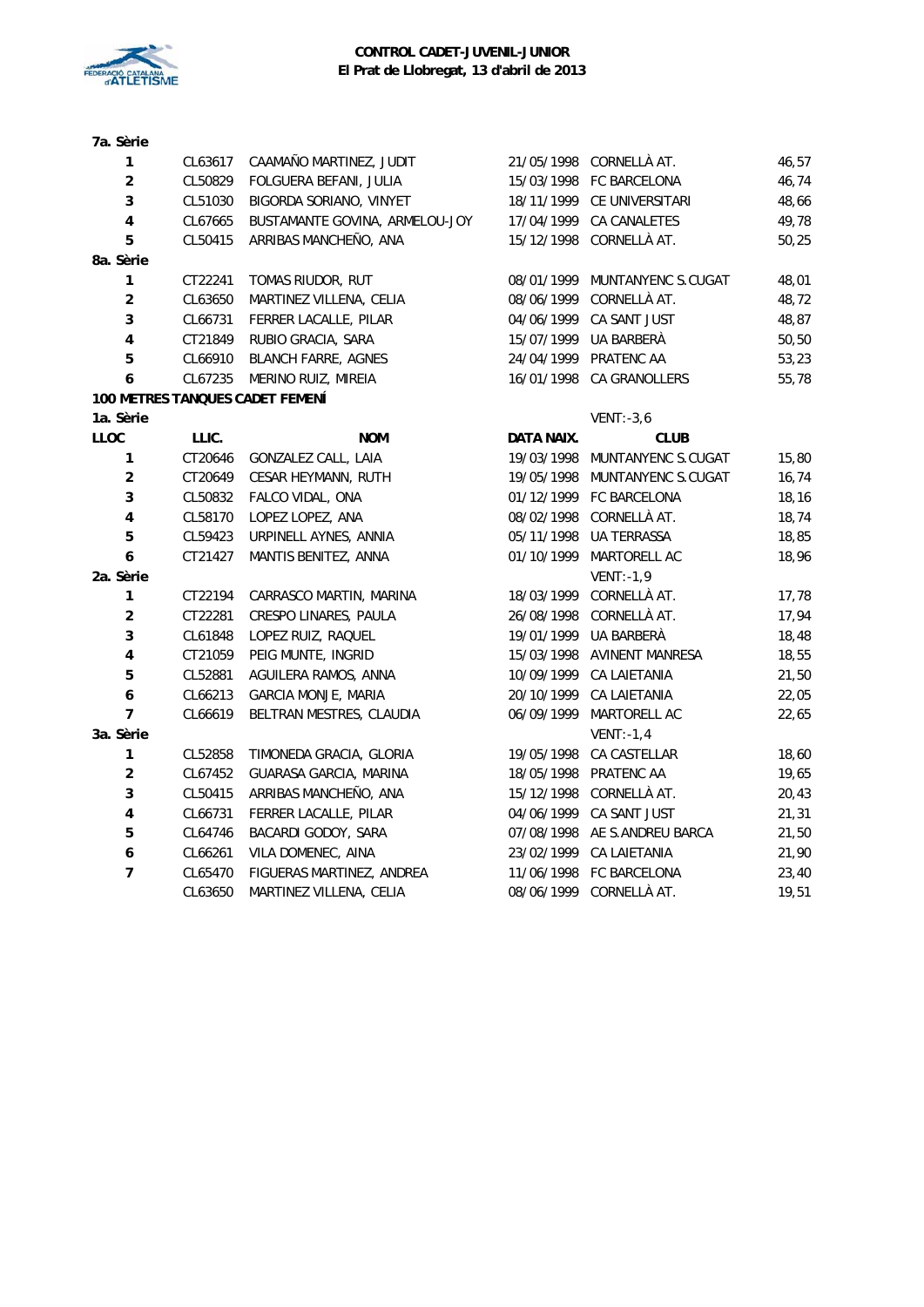

| 7a. Sèrie               |         |                                        |            |                               |        |
|-------------------------|---------|----------------------------------------|------------|-------------------------------|--------|
| $\mathbf{1}$            | CL63617 | CAAMAÑO MARTINEZ, JUDIT                |            | 21/05/1998 CORNELLÀ AT.       | 46,57  |
| $\overline{2}$          | CL50829 | FOLGUERA BEFANI, JULIA                 |            | 15/03/1998 FC BARCELONA       | 46,74  |
| 3                       | CL51030 | BIGORDA SORIANO, VINYET                |            | 18/11/1999 CE UNIVERSITARI    | 48,66  |
| $\overline{\mathbf{4}}$ | CL67665 | BUSTAMANTE GOVINA, ARMELOU-JOY         | 17/04/1999 | CA CANALETES                  | 49,78  |
| 5                       | CL50415 | ARRIBAS MANCHEÑO, ANA                  |            | 15/12/1998 CORNELLÀ AT.       | 50,25  |
| 8a. Sèrie               |         |                                        |            |                               |        |
| 1                       | CT22241 | TOMAS RIUDOR, RUT                      |            | 08/01/1999 MUNTANYENC S.CUGAT | 48,01  |
| $\overline{\mathbf{c}}$ | CL63650 | MARTINEZ VILLENA, CELIA                | 08/06/1999 | CORNELLÀ AT.                  | 48,72  |
| 3                       | CL66731 | FERRER LACALLE, PILAR                  | 04/06/1999 | CA SANT JUST                  | 48,87  |
| $\overline{\mathbf{4}}$ | CT21849 | RUBIO GRACIA, SARA                     | 15/07/1999 | UA BARBERÀ                    | 50,50  |
| 5                       | CL66910 | <b>BLANCH FARRE, AGNES</b>             | 24/04/1999 | PRATENC AA                    | 53,23  |
| 6                       | CL67235 | MERINO RUIZ, MIREIA                    |            | 16/01/1998 CA GRANOLLERS      | 55,78  |
|                         |         | <b>100 METRES TANQUES CADET FEMENI</b> |            |                               |        |
| 1a. Sèrie               |         |                                        |            | $VENT: -3, 6$                 |        |
| LLOC                    | LLIC.   | <b>NOM</b>                             | DATA NAIX. | <b>CLUB</b>                   |        |
| 1                       | CT20646 | GONZALEZ CALL, LAIA                    | 19/03/1998 | MUNTANYENC S.CUGAT            | 15,80  |
| $\overline{\mathbf{c}}$ | CT20649 | CESAR HEYMANN, RUTH                    | 19/05/1998 | MUNTANYENC S.CUGAT            | 16,74  |
| 3                       | CL50832 | FALCO VIDAL, ONA                       |            | 01/12/1999 FC BARCELONA       | 18, 16 |
| $\overline{\mathbf{4}}$ | CL58170 | LOPEZ LOPEZ, ANA                       |            | 08/02/1998 CORNELLÀ AT.       | 18,74  |
| 5                       | CL59423 | URPINELL AYNES, ANNIA                  | 05/11/1998 | UA TERRASSA                   | 18,85  |
| 6                       | CT21427 | MANTIS BENITEZ, ANNA                   | 01/10/1999 | MARTORELL AC                  | 18,96  |
| 2a. Sèrie               |         |                                        |            | VENT:-1,9                     |        |
| 1                       | CT22194 | CARRASCO MARTIN, MARINA                |            | 18/03/1999 CORNELLÀ AT.       | 17,78  |
| $\overline{\mathbf{c}}$ | CT22281 | CRESPO LINARES, PAULA                  |            | 26/08/1998 CORNELLÀ AT.       | 17,94  |
| 3                       | CL61848 | LOPEZ RUIZ, RAQUEL                     |            | 19/01/1999 UA BARBERÀ         | 18,48  |
| $\pmb{4}$               | CT21059 | PEIG MUNTE, INGRID                     |            | 15/03/1998 AVINENT MANRESA    | 18,55  |
| 5                       | CL52881 | AGUILERA RAMOS, ANNA                   | 10/09/1999 | CA LAIETANIA                  | 21,50  |
| 6                       | CL66213 | GARCIA MONJE, MARIA                    | 20/10/1999 | CA LAIETANIA                  | 22,05  |
| $\overline{7}$          | CL66619 | BELTRAN MESTRES, CLAUDIA               | 06/09/1999 | MARTORELL AC                  | 22,65  |
| 3a. Sèrie               |         |                                        |            | $VENT: -1, 4$                 |        |
| $\mathbf{1}$            | CL52858 | TIMONEDA GRACIA, GLORIA                | 19/05/1998 | CA CASTELLAR                  | 18,60  |
| $\overline{\mathbf{c}}$ | CL67452 | GUARASA GARCIA, MARINA                 | 18/05/1998 | PRATENC AA                    | 19,65  |
| 3                       | CL50415 | ARRIBAS MANCHEÑO, ANA                  | 15/12/1998 | CORNELLÀ AT.                  | 20,43  |
| $\pmb{4}$               | CL66731 | FERRER LACALLE, PILAR                  | 04/06/1999 | CA SANT JUST                  | 21,31  |
| $\overline{5}$          | CL64746 | BACARDI GODOY, SARA                    |            | 07/08/1998 AE S.ANDREU BARCA  | 21,50  |
| $\boldsymbol{6}$        | CL66261 | VILA DOMENEC, AINA                     |            | 23/02/1999 CA LAIETANIA       | 21,90  |
| $\overline{7}$          | CL65470 | FIGUERAS MARTINEZ, ANDREA              |            | 11/06/1998 FC BARCELONA       | 23,40  |
|                         | CL63650 | MARTINEZ VILLENA, CELIA                |            | 08/06/1999 CORNELLÀ AT.       | 19,51  |
|                         |         |                                        |            |                               |        |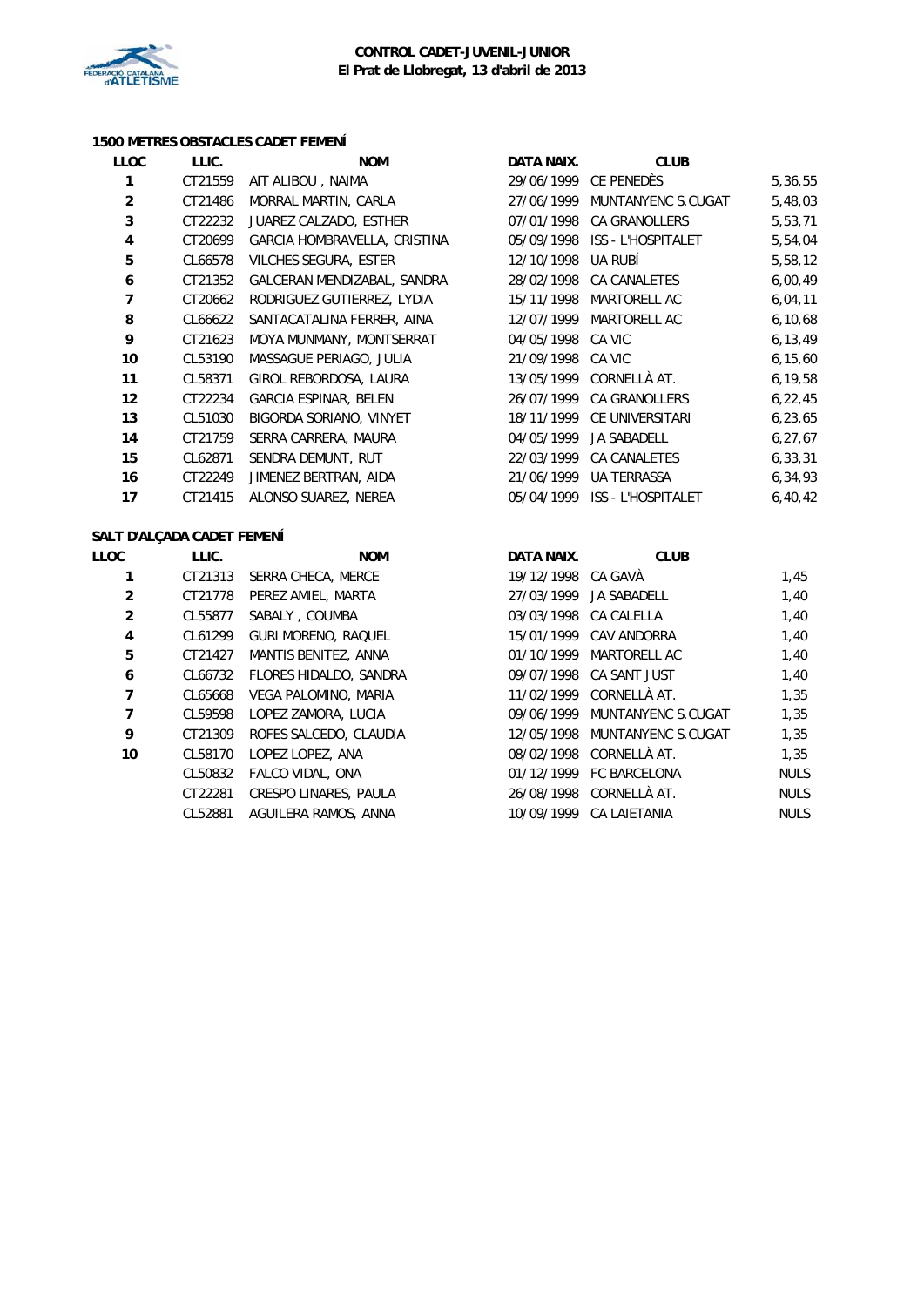

#### **1500 METRES OBSTACLES CADET FEMENÍ**

| LLOC           | LLIC.   | <b>NOM</b>                   | DATA NAIX. | <b>CLUB</b>                   |           |
|----------------|---------|------------------------------|------------|-------------------------------|-----------|
| 1              | CT21559 | AIT ALIBOU, NAIMA            |            | 29/06/1999 CE PENEDÈS         | 5,36,55   |
| $\overline{2}$ | CT21486 | MORRAL MARTIN, CARLA         | 27/06/1999 | MUNTANYENC S.CUGAT            | 5,48,03   |
| 3              | CT22232 | JUAREZ CALZADO, ESTHER       | 07/01/1998 | <b>CA GRANOLLERS</b>          | 5,53,71   |
| 4              | CT20699 | GARCIA HOMBRAVELLA, CRISTINA | 05/09/1998 | ISS - L'HOSPITALET            | 5,54,04   |
| 5              | CL66578 | VILCHES SEGURA, ESTER        | 12/10/1998 | UA RUBÍ                       | 5,58,12   |
| 6              | CT21352 | GALCERAN MENDIZABAL, SANDRA  | 28/02/1998 | CA CANALETES                  | 6,00,49   |
| $\overline{7}$ | CT20662 | RODRIGUEZ GUTIERREZ, LYDIA   | 15/11/1998 | MARTORELL AC                  | 6,04,11   |
| 8              | CL66622 | SANTACATALINA FERRER, AINA   | 12/07/1999 | MARTORELL AC                  | 6, 10, 68 |
| 9              | CT21623 | MOYA MUNMANY, MONTSERRAT     | 04/05/1998 | CA VIC                        | 6, 13, 49 |
| 10             | CL53190 | MASSAGUE PERIAGO, JULIA      | 21/09/1998 | CA VIC                        | 6, 15, 60 |
| 11             | CL58371 | GIROL REBORDOSA, LAURA       | 13/05/1999 | CORNELLÀ AT.                  | 6, 19, 58 |
| 12             | CT22234 | <b>GARCIA ESPINAR, BELEN</b> | 26/07/1999 | <b>CA GRANOLLERS</b>          | 6, 22, 45 |
| 13             | CL51030 | BIGORDA SORIANO, VINYET      | 18/11/1999 | CE UNIVERSITARI               | 6, 23, 65 |
| 14             | CT21759 | SERRA CARRERA, MAURA         | 04/05/1999 | <b>JA SABADELL</b>            | 6, 27, 67 |
| 15             | CL62871 | SENDRA DEMUNT, RUT           | 22/03/1999 | CA CANALETES                  | 6, 33, 31 |
| 16             | CT22249 | JIMENEZ BERTRAN, AIDA        | 21/06/1999 | UA TERRASSA                   | 6, 34, 93 |
| 17             | CT21415 | ALONSO SUAREZ, NEREA         |            | 05/04/1999 ISS - L'HOSPITALET | 6,40,42   |

#### **SALT D'ALÇADA CADET FEMENÍ**

| LLOC           | LLIC.   | <b>NOM</b>             | DATA NAIX.         | <b>CLUB</b>             |             |
|----------------|---------|------------------------|--------------------|-------------------------|-------------|
|                | CT21313 | SERRA CHECA, MERCE     | 19/12/1998 CA GAVA |                         | 1,45        |
| 2              | CT21778 | PEREZ AMIEL, MARTA     | 27/03/1999         | JA SABADELL             | 1,40        |
| $\overline{2}$ | CL55877 | SABALY, COUMBA         |                    | 03/03/1998 CA CALELLA   | 1,40        |
| 4              | CL61299 | GURI MORENO, RAQUEL    | 15/01/1999         | CAV ANDORRA             | 1,40        |
| 5              | CT21427 | MANTIS BENITEZ, ANNA   | 01/10/1999         | MARTORELL AC            | 1,40        |
| 6              | CL66732 | FLORES HIDALDO, SANDRA |                    | 09/07/1998 CA SANT JUST | 1,40        |
| 7              | CL65668 | VEGA PALOMINO, MARIA   | 11/02/1999         | CORNELLÀ AT.            | 1,35        |
| 7              | CL59598 | LOPEZ ZAMORA, LUCIA    | 09/06/1999         | MUNTANYENC S.CUGAT      | 1,35        |
| 9              | CT21309 | ROFES SALCEDO, CLAUDIA | 12/05/1998         | MUNTANYENC S.CUGAT      | 1,35        |
| 10             | CL58170 | LOPEZ LOPEZ, ANA       |                    | 08/02/1998 CORNELLÀ AT. | 1,35        |
|                | CL50832 | FALCO VIDAL, ONA       |                    | 01/12/1999 FC BARCELONA | <b>NULS</b> |
|                | CT22281 | CRESPO LINARES, PAULA  | 26/08/1998         | CORNELLÀ AT.            | <b>NULS</b> |
|                | CL52881 | AGUILERA RAMOS, ANNA   | 10/09/1999         | CA LAIETANIA            | <b>NULS</b> |
|                |         |                        |                    |                         |             |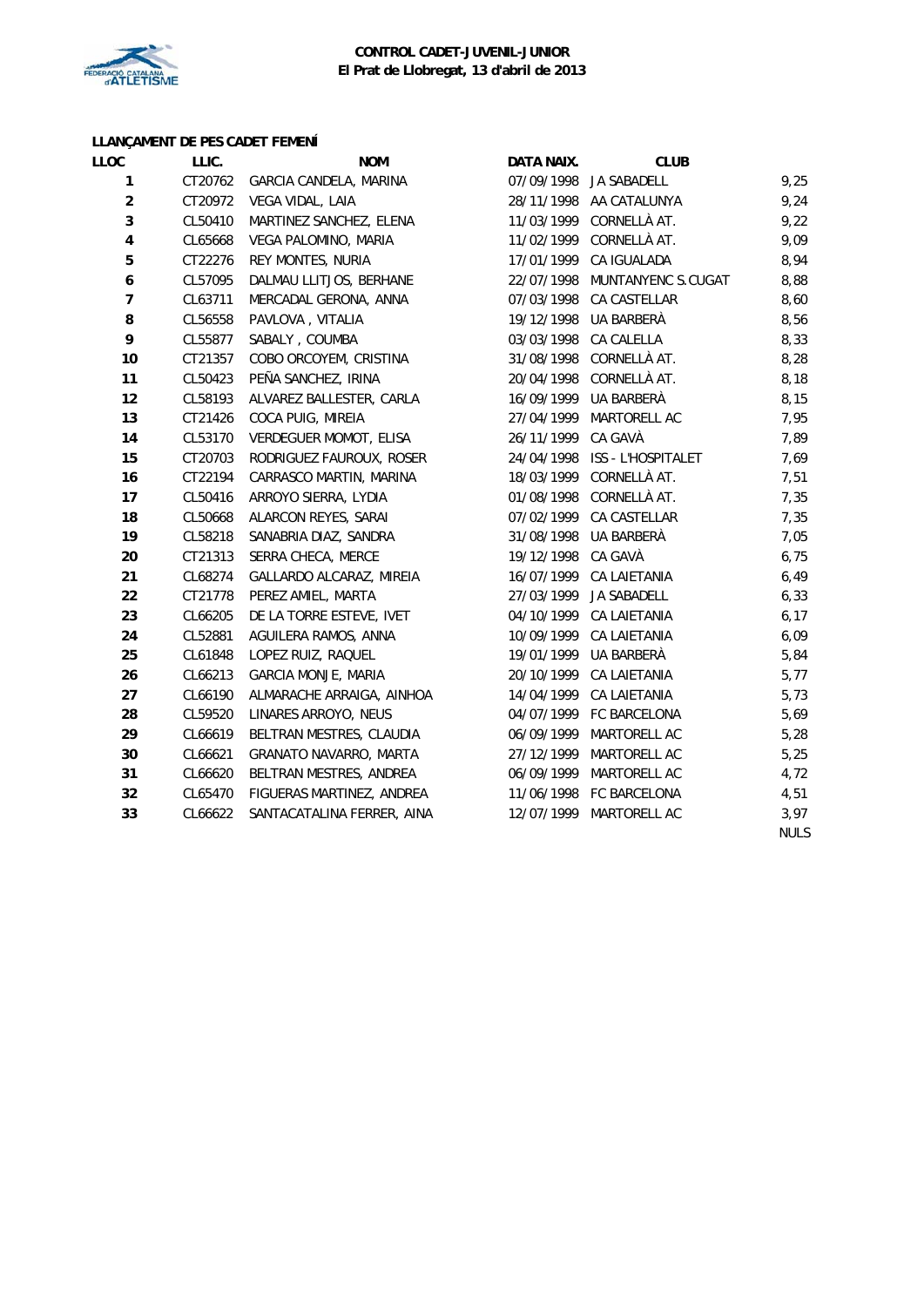

### **CONTROL CADET-JUVENIL-JUNIOR El Prat de Llobregat, 13 d'abril de 2013**

# **LLANÇAMENT DE PES CADET FEMENÍ**

| <b>LLOC</b>      | LLIC.   | LLANQAMILINI DL I LJ OADL I I LMLNI<br><b>NOM</b> | DATA NAIX. | <b>CLUB</b>             |             |
|------------------|---------|---------------------------------------------------|------------|-------------------------|-------------|
| $\mathbf{1}$     |         | CT20762 GARCIA CANDELA, MARINA                    |            | 07/09/1998 JA SABADELL  | 9,25        |
| $\overline{c}$   | CT20972 | VEGA VIDAL, LAIA                                  |            | 28/11/1998 AA CATALUNYA | 9,24        |
| 3                | CL50410 | MARTINEZ SANCHEZ, ELENA                           | 11/03/1999 | CORNELLÀ AT.            | 9,22        |
| $\pmb{4}$        | CL65668 | VEGA PALOMINO, MARIA                              | 11/02/1999 | CORNELLÀ AT.            | 9,09        |
| 5                | CT22276 | REY MONTES, NURIA                                 | 17/01/1999 | CA IGUALADA             | 8,94        |
| $\boldsymbol{6}$ | CL57095 | DALMAU LLITJOS, BERHANE                           | 22/07/1998 | MUNTANYENC S.CUGAT      | 8,88        |
| $\overline{7}$   | CL63711 | MERCADAL GERONA, ANNA                             | 07/03/1998 | CA CASTELLAR            | 8,60        |
| 8                | CL56558 | PAVLOVA, VITALIA                                  | 19/12/1998 | UA BARBERÀ              | 8,56        |
| 9                | CL55877 | SABALY, COUMBA                                    | 03/03/1998 | CA CALELLA              | 8,33        |
| 10               | CT21357 | COBO ORCOYEM, CRISTINA                            | 31/08/1998 | CORNELLÀ AT.            | 8,28        |
| 11               | CL50423 | PEÑA SANCHEZ, IRINA                               | 20/04/1998 | CORNELLÀ AT.            | 8,18        |
| 12               | CL58193 | ALVAREZ BALLESTER, CARLA                          | 16/09/1999 | UA BARBERÀ              | 8,15        |
| 13               | CT21426 | COCA PUIG, MIREIA                                 | 27/04/1999 | MARTORELL AC            | 7,95        |
| 14               | CL53170 | VERDEGUER MOMOT, ELISA                            | 26/11/1999 | CA GAVÀ                 | 7,89        |
| 15               | CT20703 | RODRIGUEZ FAUROUX, ROSER                          | 24/04/1998 | ISS - L'HOSPITALET      | 7,69        |
| 16               | CT22194 | CARRASCO MARTIN, MARINA                           | 18/03/1999 | CORNELLÀ AT.            | 7,51        |
| 17               | CL50416 | ARROYO SIERRA, LYDIA                              | 01/08/1998 | CORNELLÀ AT.            | 7,35        |
| 18               | CL50668 | ALARCON REYES, SARAI                              | 07/02/1999 | CA CASTELLAR            | 7,35        |
| 19               | CL58218 | SANABRIA DIAZ, SANDRA                             | 31/08/1998 | UA BARBERÀ              | 7,05        |
| 20               | CT21313 | SERRA CHECA, MERCE                                | 19/12/1998 | CA GAVÀ                 | 6,75        |
| 21               | CL68274 | GALLARDO ALCARAZ, MIREIA                          | 16/07/1999 | CA LAIETANIA            | 6,49        |
| 22               | CT21778 | PEREZ AMIEL, MARTA                                | 27/03/1999 | JA SABADELL             | 6, 33       |
| 23               | CL66205 | DE LA TORRE ESTEVE, IVET                          | 04/10/1999 | CA LAIETANIA            | 6, 17       |
| 24               | CL52881 | AGUILERA RAMOS, ANNA                              | 10/09/1999 | CA LAIETANIA            | 6,09        |
| 25               | CL61848 | LOPEZ RUIZ, RAQUEL                                | 19/01/1999 | UA BARBERÀ              | 5,84        |
| 26               | CL66213 | <b>GARCIA MONJE, MARIA</b>                        | 20/10/1999 | <b>CA LAIETANIA</b>     | 5,77        |
| 27               | CL66190 | ALMARACHE ARRAIGA, AINHOA                         | 14/04/1999 | CA LAIETANIA            | 5,73        |
| 28               | CL59520 | LINARES ARROYO, NEUS                              | 04/07/1999 | FC BARCELONA            | 5,69        |
| 29               | CL66619 | BELTRAN MESTRES, CLAUDIA                          | 06/09/1999 | MARTORELL AC            | 5,28        |
| 30               | CL66621 | GRANATO NAVARRO, MARTA                            | 27/12/1999 | MARTORELL AC            | 5,25        |
| 31               | CL66620 | BELTRAN MESTRES, ANDREA                           | 06/09/1999 | MARTORELL AC            | 4,72        |
| 32               | CL65470 | FIGUERAS MARTINEZ, ANDREA                         |            | 11/06/1998 FC BARCELONA | 4,51        |
| 33               | CL66622 | SANTACATALINA FERRER, AINA                        | 12/07/1999 | MARTORELL AC            | 3,97        |
|                  |         |                                                   |            |                         | <b>NULS</b> |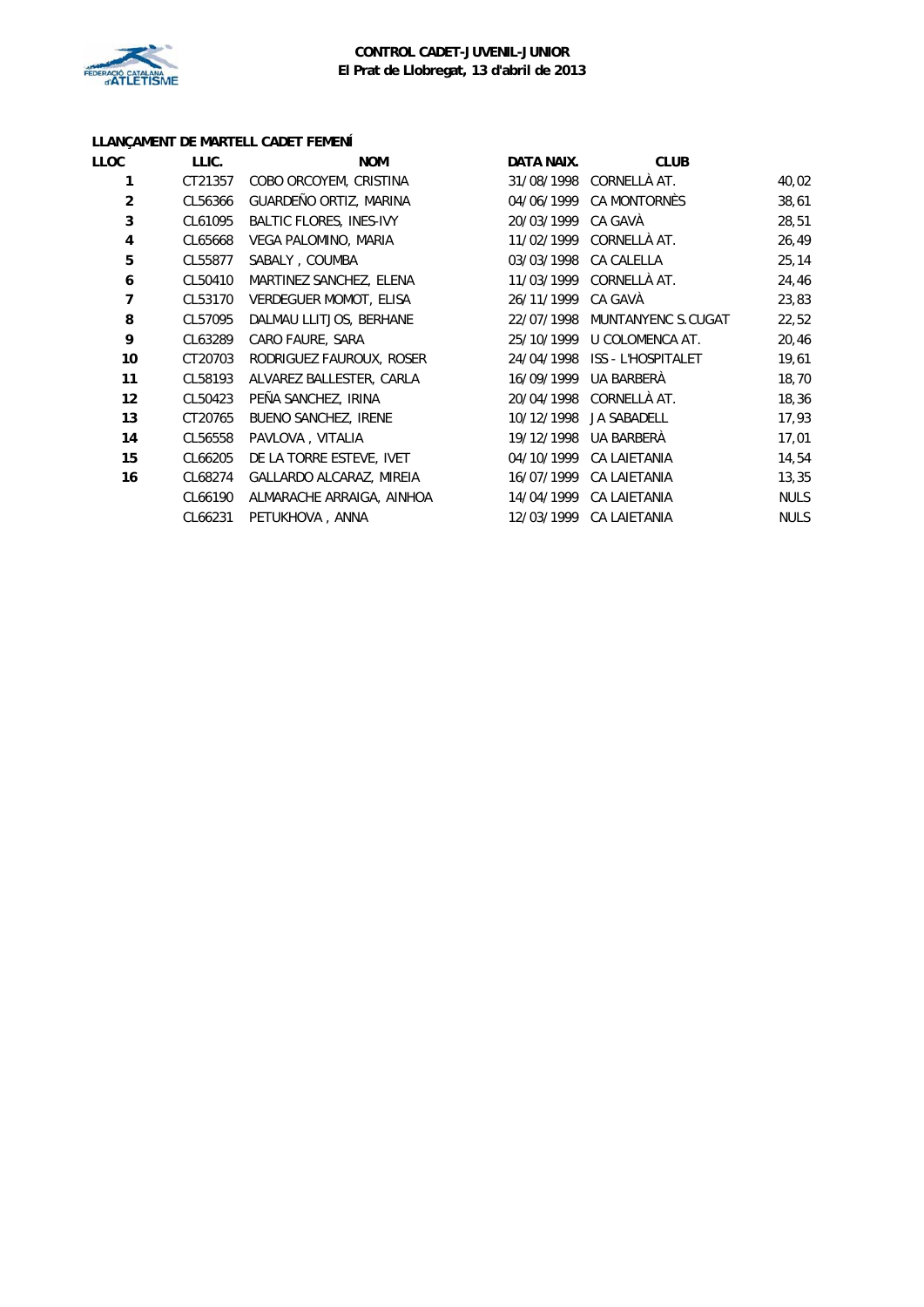

# **LLANÇAMENT DE MARTELL CADET FEMENÍ**

| LLOC           | LLIC.   | <b>NOM</b>                     | DATA NAIX. | <b>CLUB</b>         |             |
|----------------|---------|--------------------------------|------------|---------------------|-------------|
| 1              | CT21357 | COBO ORCOYEM, CRISTINA         | 31/08/1998 | CORNELLÀ AT.        | 40,02       |
| $\overline{2}$ | CL56366 | GUARDEÑO ORTIZ, MARINA         | 04/06/1999 | <b>CA MONTORNÈS</b> | 38,61       |
| 3              | CL61095 | <b>BALTIC FLORES, INES-IVY</b> | 20/03/1999 | CA GAVÀ             | 28,51       |
| 4              | CL65668 | VEGA PALOMINO, MARIA           | 11/02/1999 | CORNELLÀ AT.        | 26,49       |
| 5              | CL55877 | SABALY, COUMBA                 | 03/03/1998 | <b>CA CALELLA</b>   | 25, 14      |
| 6              | CL50410 | MARTINEZ SANCHEZ, ELENA        | 11/03/1999 | CORNELLÀ AT.        | 24,46       |
| 7              | CL53170 | <b>VERDEGUER MOMOT, ELISA</b>  | 26/11/1999 | CA GAVÀ             | 23,83       |
| 8              | CL57095 | DALMAU LLITJOS, BERHANE        | 22/07/1998 | MUNTANYENC S.CUGAT  | 22,52       |
| 9              | CL63289 | CARO FAURE, SARA               | 25/10/1999 | U COLOMENCA AT.     | 20,46       |
| 10             | CT20703 | RODRIGUEZ FAUROUX, ROSER       | 24/04/1998 | ISS - L'HOSPITALET  | 19,61       |
| 11             | CL58193 | ALVAREZ BALLESTER, CARLA       | 16/09/1999 | UA BARBERÀ          | 18,70       |
| 12             | CL50423 | PEÑA SANCHEZ, IRINA            | 20/04/1998 | CORNELLÀ AT.        | 18,36       |
| 13             | CT20765 | <b>BUENO SANCHEZ, IRENE</b>    | 10/12/1998 | <b>JA SABADELL</b>  | 17,93       |
| 14             | CL56558 | PAVLOVA, VITALIA               | 19/12/1998 | UA BARBERÀ          | 17,01       |
| 15             | CL66205 | DE LA TORRE ESTEVE, IVET       | 04/10/1999 | CA LAIETANIA        | 14,54       |
| 16             | CL68274 | GALLARDO ALCARAZ, MIREIA       | 16/07/1999 | CA LAIETANIA        | 13,35       |
|                | CL66190 | ALMARACHE ARRAIGA, AINHOA      | 14/04/1999 | <b>CA LAIETANIA</b> | <b>NULS</b> |
|                | CL66231 | PETUKHOVA, ANNA                | 12/03/1999 | CA LAIETANIA        | <b>NULS</b> |
|                |         |                                |            |                     |             |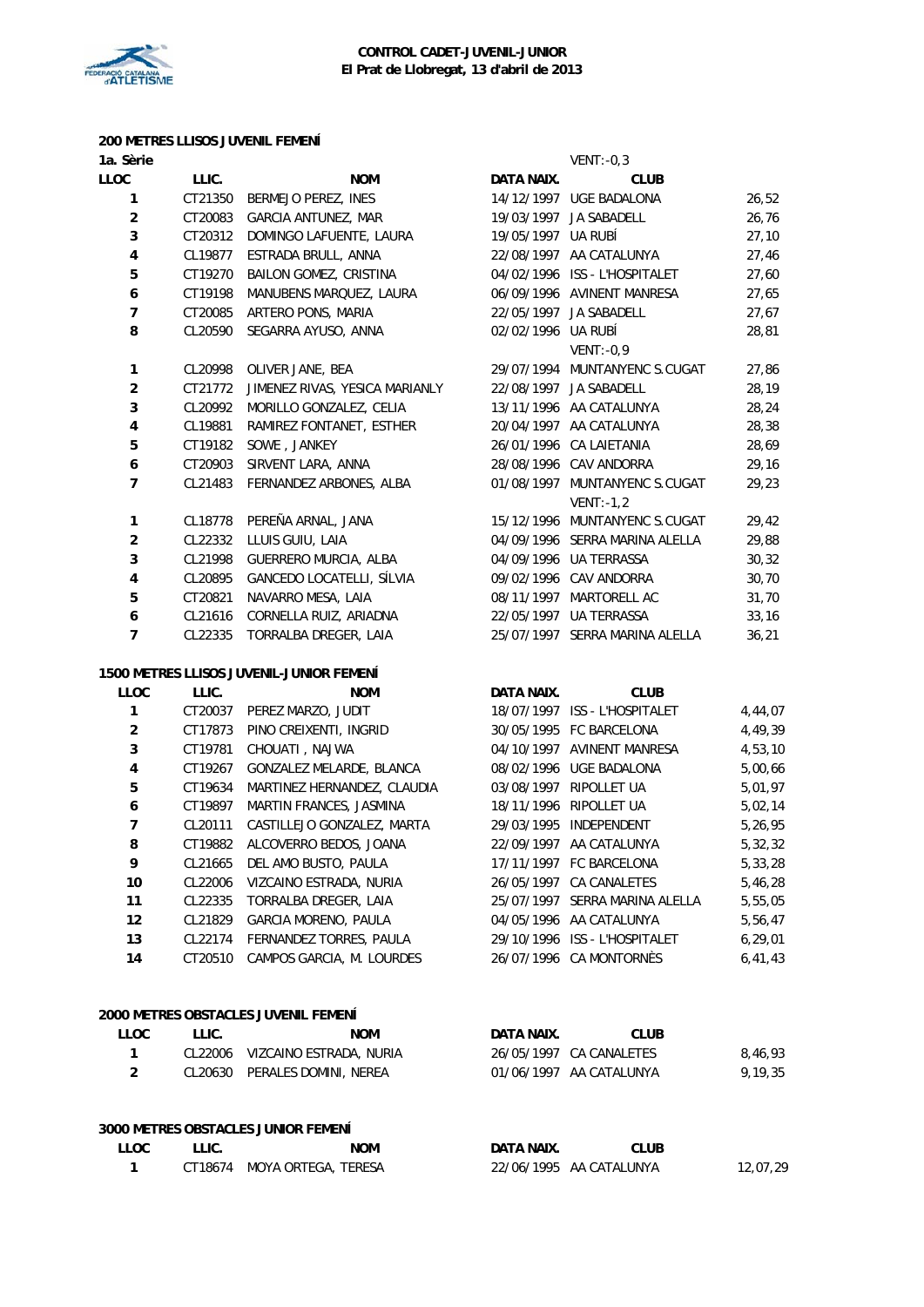

#### **200 METRES LLISOS JUVENIL FEMENÍ 1a. Sèrie** VENT:-0,3

| <b>LLOC</b>    | LLIC.   | <b>NOM</b>                               | DATA NAIX.         | <b>CLUB</b>                    |         |
|----------------|---------|------------------------------------------|--------------------|--------------------------------|---------|
| 1              | CT21350 | BERMEJO PEREZ, INES                      |                    | 14/12/1997 UGE BADALONA        | 26,52   |
| $\overline{c}$ | CT20083 | <b>GARCIA ANTUNEZ, MAR</b>               |                    | 19/03/1997 JA SABADELL         | 26,76   |
| 3              | CT20312 | DOMINGO LAFUENTE, LAURA                  | 19/05/1997 UA RUBÍ |                                | 27,10   |
| $\pmb{4}$      | CL19877 | ESTRADA BRULL, ANNA                      |                    | 22/08/1997 AA CATALUNYA        | 27,46   |
| 5              | CT19270 | BAILON GOMEZ, CRISTINA                   |                    | 04/02/1996 ISS - L'HOSPITALET  | 27,60   |
| 6              | CT19198 | MANUBENS MARQUEZ, LAURA                  |                    | 06/09/1996 AVINENT MANRESA     | 27,65   |
| 7              | CT20085 | ARTERO PONS, MARIA                       |                    | 22/05/1997 JA SABADELL         | 27,67   |
| 8              | CL20590 | SEGARRA AYUSO, ANNA                      | 02/02/1996 UA RUBÍ |                                | 28,81   |
|                |         |                                          |                    | $VENT: -0.9$                   |         |
| 1              | CL20998 | OLIVER JANE, BEA                         |                    | 29/07/1994 MUNTANYENC S.CUGAT  | 27,86   |
| $\overline{c}$ | CT21772 | JIMENEZ RIVAS, YESICA MARIANLY           |                    | 22/08/1997 JA SABADELL         | 28,19   |
| 3              | CL20992 | MORILLO GONZALEZ, CELIA                  |                    | 13/11/1996 AA CATALUNYA        | 28,24   |
| $\overline{4}$ | CL19881 | RAMIREZ FONTANET, ESTHER                 |                    | 20/04/1997 AA CATALUNYA        | 28,38   |
| 5              | CT19182 | SOWE, JANKEY                             |                    | 26/01/1996 CA LAIETANIA        | 28,69   |
| 6              | CT20903 | SIRVENT LARA, ANNA                       |                    | 28/08/1996 CAV ANDORRA         | 29,16   |
| $\overline{7}$ |         | CL21483 FERNANDEZ ARBONES, ALBA          |                    | 01/08/1997 MUNTANYENC S.CUGAT  | 29,23   |
|                |         |                                          |                    | $VENT: -1, 2$                  |         |
| 1              | CL18778 | PEREÑA ARNAL, JANA                       |                    | 15/12/1996 MUNTANYENC S.CUGAT  | 29,42   |
| $\mathbf 2$    | CL22332 | LLUIS GUIU, LAIA                         |                    | 04/09/1996 SERRA MARINA ALELLA | 29,88   |
| 3              | CL21998 | GUERRERO MURCIA, ALBA                    |                    | 04/09/1996 UA TERRASSA         | 30, 32  |
| 4              | CL20895 | GANCEDO LOCATELLI, SÍLVIA                |                    | 09/02/1996 CAV ANDORRA         | 30,70   |
| 5              | CT20821 | NAVARRO MESA, LAIA                       |                    | 08/11/1997 MARTORELL AC        | 31,70   |
| 6              | CL21616 | CORNELLA RUIZ, ARIADNA                   |                    | 22/05/1997 UA TERRASSA         | 33,16   |
| $\overline{7}$ | CL22335 | TORRALBA DREGER, LAIA                    |                    | 25/07/1997 SERRA MARINA ALELLA | 36,21   |
|                |         | 1500 METRES LLISOS JUVENIL-JUNIOR FEMENÍ |                    |                                |         |
| <b>LLOC</b>    | LLIC.   | <b>NOM</b>                               | DATA NAIX.         | <b>CLUB</b>                    |         |
| 1              |         | CT20037 PEREZ MARZO, JUDIT               |                    | 18/07/1997 ISS - L'HOSPITALET  | 4,44,07 |

|                |         |                                 |                                | . , ,     |
|----------------|---------|---------------------------------|--------------------------------|-----------|
| $\overline{2}$ | CT17873 | PINO CREIXENTI, INGRID          | 30/05/1995 FC BARCELONA        | 4,49,39   |
| 3              | CT19781 | CHOUATI, NAJWA                  | 04/10/1997 AVINENT MANRESA     | 4,53,10   |
| $\overline{4}$ | CT19267 | <b>GONZALEZ MELARDE, BLANCA</b> | 08/02/1996 UGE BADALONA        | 5,00,66   |
| 5              | CT19634 | MARTINEZ HERNANDEZ, CLAUDIA     | 03/08/1997 RIPOLLET UA         | 5,01,97   |
| 6              | CT19897 | MARTIN FRANCES, JASMINA         | 18/11/1996 RIPOLLET UA         | 5,02,14   |
| $\overline{7}$ | CL20111 | CASTILLEJO GONZALEZ, MARTA      | 29/03/1995 INDEPENDENT         | 5,26,95   |
| 8              | CT19882 | ALCOVERRO BEDOS, JOANA          | 22/09/1997 AA CATALUNYA        | 5,32,32   |
| 9              | CL21665 | DEL AMO BUSTO, PAULA            | 17/11/1997 FC BARCELONA        | 5,33,28   |
| 10             | CL22006 | VIZCAINO ESTRADA, NURIA         | 26/05/1997 CA CANALETES        | 5,46,28   |
| 11             | CL22335 | TORRALBA DREGER, LAIA           | 25/07/1997 SERRA MARINA ALELLA | 5,55,05   |
| 12             | CL21829 | GARCIA MORENO, PAULA            | 04/05/1996 AA CATALUNYA        | 5,56,47   |
| 13             |         | CL22174 FERNANDEZ TORRES, PAULA | 29/10/1996 ISS - L'HOSPITALET  | 6, 29, 01 |
| 14             | CT20510 | CAMPOS GARCIA, M. LOURDES       | 26/07/1996 CA MONTORNES        | 6, 41, 43 |
|                |         |                                 |                                |           |

| 2000 METRES OBSTACLES JUVENIL FEMENÍ |       |                                 |            |                         |         |  |  |
|--------------------------------------|-------|---------------------------------|------------|-------------------------|---------|--|--|
| LLOC                                 | LLIC. | NOM                             | DATA NAIX. | <b>CLUB</b>             |         |  |  |
|                                      |       | CL22006 VIZCAINO ESTRADA, NURIA |            | 26/05/1997 CA CANALETES | 8.46.93 |  |  |
| $\mathcal{P}$                        |       | CL20630 PERALES DOMINI, NEREA   |            | 01/06/1997 AA CATALUNYA | 9.19.35 |  |  |
|                                      |       |                                 |            |                         |         |  |  |

# **3000 METRES OBSTACLES JUNIOR FEMENÍ**

| <b>LLOC</b> | LLIC. | <b>NOM</b>                  | DATA NAIX. | CLUB                    |          |
|-------------|-------|-----------------------------|------------|-------------------------|----------|
|             |       | CT18674 MOYA ORTEGA, TERESA |            | 22/06/1995 AA CATALUNYA | 12.07.29 |